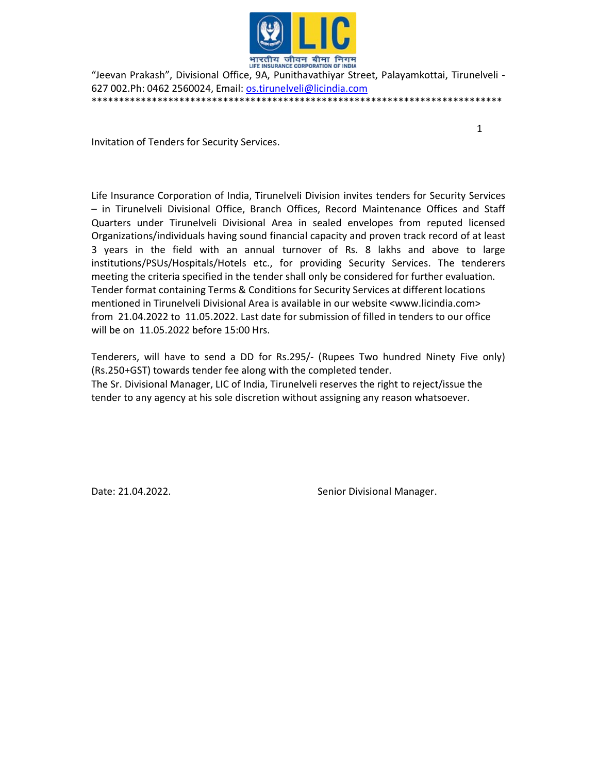

"Jeevan Prakash", Divisional Office, 9A, Punithavathiyar Street, Palayamkottai, Tirunelveli - 627 002.Ph: 0462 2560024, Email: os.tirunelveli@licindia.com \*\*\*\*\*\*\*\*\*\*\*\*\*\*\*\*\*\*\*\*\*\*\*\*\*\*\*\*\*\*\*\*\*\*\*\*\*\*\*\*\*\*\*\*\*\*\*\*\*\*\*\*\*\*\*\*\*\*\*\*\*\*\*\*\*\*\*\*\*\*\*\*\*\*\*

1

Invitation of Tenders for Security Services.

Life Insurance Corporation of India, Tirunelveli Division invites tenders for Security Services – in Tirunelveli Divisional Office, Branch Offices, Record Maintenance Offices and Staff Quarters under Tirunelveli Divisional Area in sealed envelopes from reputed licensed Organizations/individuals having sound financial capacity and proven track record of at least 3 years in the field with an annual turnover of Rs. 8 lakhs and above to large institutions/PSUs/Hospitals/Hotels etc., for providing Security Services. The tenderers meeting the criteria specified in the tender shall only be considered for further evaluation. Tender format containing Terms & Conditions for Security Services at different locations mentioned in Tirunelveli Divisional Area is available in our website <www.licindia.com> from 21.04.2022 to 11.05.2022. Last date for submission of filled in tenders to our office will be on 11.05.2022 before 15:00 Hrs.

Tenderers, will have to send a DD for Rs.295/- (Rupees Two hundred Ninety Five only) (Rs.250+GST) towards tender fee along with the completed tender. The Sr. Divisional Manager, LIC of India, Tirunelveli reserves the right to reject/issue the tender to any agency at his sole discretion without assigning any reason whatsoever.

Date: 21.04.2022. Case of the Senior Divisional Manager.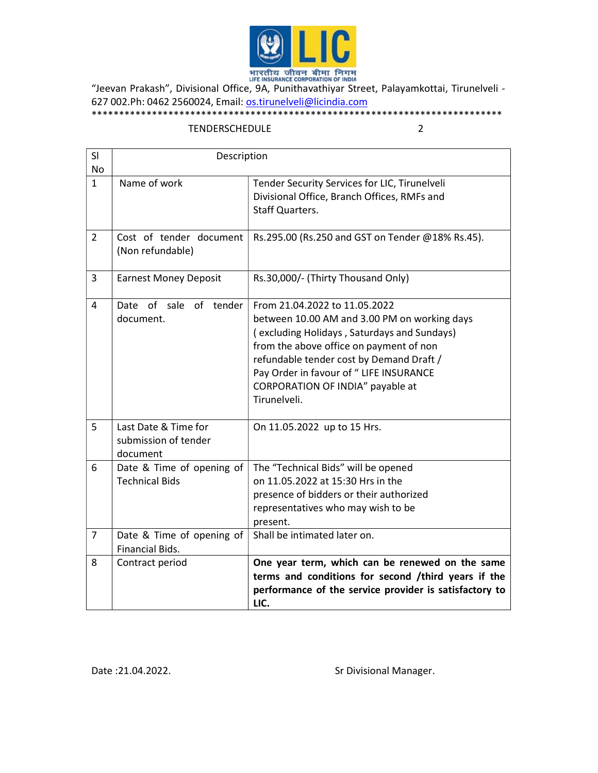

"Jeevan Prakash", Divisional Office, 9A, Punithavathiyar Street, Palayamkottai, Tirunelveli - 627 002.Ph: 0462 2560024, Email: **os.tirunelveli@licindia.com** \*\*\*\*\*\*\*\*\*\*\*\*\*\*\*\*\*\*\*\*\*\*\*\*\*\*\*\*\*\*\*\*\*\*\*\*\*\*\*\*\*\*\*\*\*\*\*\*\*\*\*\*\*\*\*\*\*\*\*\*\*\*\*\*\*\*\*\*\*\*\*\*\*\*\*

## TENDERSCHEDULE 2

| SI<br>No       | Description                                              |                                                                                                                                                                                                                                                                                                                    |  |
|----------------|----------------------------------------------------------|--------------------------------------------------------------------------------------------------------------------------------------------------------------------------------------------------------------------------------------------------------------------------------------------------------------------|--|
| $\mathbf{1}$   | Name of work                                             | Tender Security Services for LIC, Tirunelveli<br>Divisional Office, Branch Offices, RMFs and<br><b>Staff Quarters.</b>                                                                                                                                                                                             |  |
| $\overline{2}$ | Cost of tender document<br>(Non refundable)              | Rs.295.00 (Rs.250 and GST on Tender @18% Rs.45).                                                                                                                                                                                                                                                                   |  |
| 3              | <b>Earnest Money Deposit</b>                             | Rs.30,000/- (Thirty Thousand Only)                                                                                                                                                                                                                                                                                 |  |
| 4              | Date of sale<br>of<br>tender<br>document.                | From 21.04.2022 to 11.05.2022<br>between 10.00 AM and 3.00 PM on working days<br>(excluding Holidays, Saturdays and Sundays)<br>from the above office on payment of non<br>refundable tender cost by Demand Draft /<br>Pay Order in favour of " LIFE INSURANCE<br>CORPORATION OF INDIA" payable at<br>Tirunelveli. |  |
| 5              | Last Date & Time for<br>submission of tender<br>document | On 11.05.2022 up to 15 Hrs.                                                                                                                                                                                                                                                                                        |  |
| 6              | Date & Time of opening of<br><b>Technical Bids</b>       | The "Technical Bids" will be opened<br>on 11.05.2022 at 15:30 Hrs in the<br>presence of bidders or their authorized<br>representatives who may wish to be<br>present.                                                                                                                                              |  |
| $\overline{7}$ | Date & Time of opening of<br>Financial Bids.             | Shall be intimated later on.                                                                                                                                                                                                                                                                                       |  |
| 8              | Contract period                                          | One year term, which can be renewed on the same<br>terms and conditions for second /third years if the<br>performance of the service provider is satisfactory to<br>LIC.                                                                                                                                           |  |

Date : 21.04.2022. Case of the State of the State Structure Structure Structure Structure Data Structure Structure Structure Structure Structure Structure Structure Structure Structure Structure Structure Structure Structu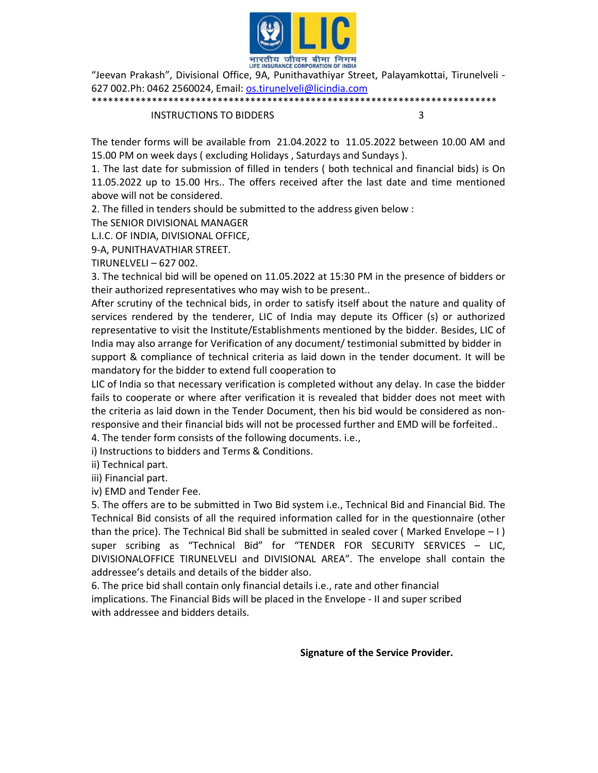

"Jeevan Prakash", Divisional Office, 9A, Punithavathiyar Street, Palayamkottai, Tirunelveli - 627 002.Ph: 0462 2560024, Email: os.tirunelveli@licindia.com \*\*\*\*\*\*\*\*\*\*\*\*\*\*\*\*\*\*\*\*\*\*\*\*\*\*\*\*\*\*\*\*\*\*\*\*\*\*\*\*\*\*\*\*\*\*\*\*\*\*\*\*\*\*\*\*\*\*\*\*\*\*\*\*\*\*\*\*\*\*\*\*\*\*

INSTRUCTIONS TO BIDDERS 3

The tender forms will be available from 21.04.2022 to 11.05.2022 between 10.00 AM and 15.00 PM on week days ( excluding Holidays , Saturdays and Sundays ).

1. The last date for submission of filled in tenders ( both technical and financial bids) is On 11.05.2022 up to 15.00 Hrs.. The offers received after the last date and time mentioned above will not be considered.

2. The filled in tenders should be submitted to the address given below :

The SENIOR DIVISIONAL MANAGER

L.I.C. OF INDIA, DIVISIONAL OFFICE,

9-A, PUNITHAVATHIAR STREET.

TIRUNELVELI – 627 002.

3. The technical bid will be opened on 11.05.2022 at 15:30 PM in the presence of bidders or their authorized representatives who may wish to be present..

After scrutiny of the technical bids, in order to satisfy itself about the nature and quality of services rendered by the tenderer, LIC of India may depute its Officer (s) or authorized representative to visit the Institute/Establishments mentioned by the bidder. Besides, LIC of India may also arrange for Verification of any document/ testimonial submitted by bidder in support & compliance of technical criteria as laid down in the tender document. It will be mandatory for the bidder to extend full cooperation to

LIC of India so that necessary verification is completed without any delay. In case the bidder fails to cooperate or where after verification it is revealed that bidder does not meet with the criteria as laid down in the Tender Document, then his bid would be considered as nonresponsive and their financial bids will not be processed further and EMD will be forfeited..

4. The tender form consists of the following documents. i.e.,

i) Instructions to bidders and Terms & Conditions.

ii) Technical part.

iii) Financial part.

iv) EMD and Tender Fee.

5. The offers are to be submitted in Two Bid system i.e., Technical Bid and Financial Bid. The Technical Bid consists of all the required information called for in the questionnaire (other than the price). The Technical Bid shall be submitted in sealed cover (Marked Envelope  $-1$ ) super scribing as "Technical Bid" for "TENDER FOR SECURITY SERVICES – LIC, DIVISIONALOFFICE TIRUNELVELI and DIVISIONAL AREA". The envelope shall contain the addressee's details and details of the bidder also.

6. The price bid shall contain only financial details i.e., rate and other financial implications. The Financial Bids will be placed in the Envelope - II and super scribed with addressee and bidders details.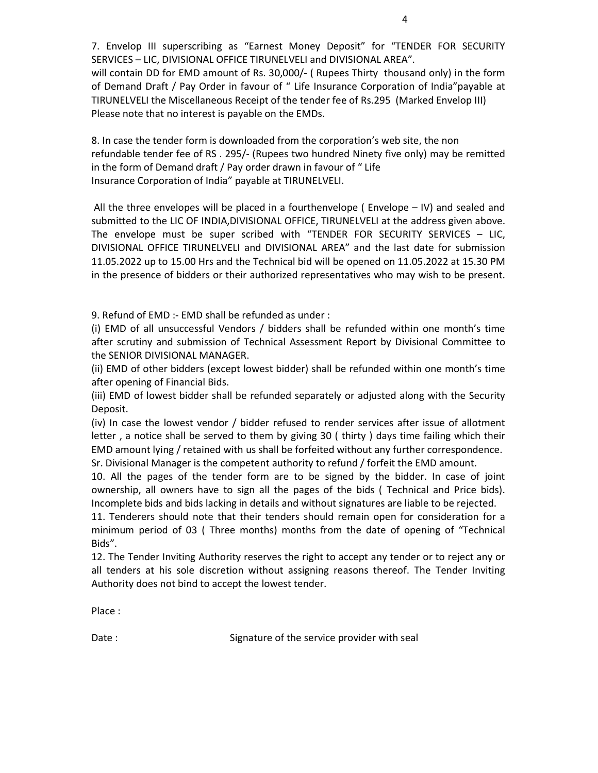7. Envelop III superscribing as "Earnest Money Deposit" for "TENDER FOR SECURITY SERVICES – LIC, DIVISIONAL OFFICE TIRUNELVELI and DIVISIONAL AREA".

will contain DD for EMD amount of Rs. 30,000/- (Rupees Thirty thousand only) in the form of Demand Draft / Pay Order in favour of " Life Insurance Corporation of India"payable at TIRUNELVELI the Miscellaneous Receipt of the tender fee of Rs.295 (Marked Envelop III) Please note that no interest is payable on the EMDs.

8. In case the tender form is downloaded from the corporation's web site, the non refundable tender fee of RS . 295/- (Rupees two hundred Ninety five only) may be remitted in the form of Demand draft / Pay order drawn in favour of " Life Insurance Corporation of India" payable at TIRUNELVELI.

 All the three envelopes will be placed in a fourthenvelope ( Envelope – IV) and sealed and submitted to the LIC OF INDIA,DIVISIONAL OFFICE, TIRUNELVELI at the address given above. The envelope must be super scribed with "TENDER FOR SECURITY SERVICES – LIC, DIVISIONAL OFFICE TIRUNELVELI and DIVISIONAL AREA" and the last date for submission 11.05.2022 up to 15.00 Hrs and the Technical bid will be opened on 11.05.2022 at 15.30 PM in the presence of bidders or their authorized representatives who may wish to be present.

9. Refund of EMD :- EMD shall be refunded as under :

(i) EMD of all unsuccessful Vendors / bidders shall be refunded within one month's time after scrutiny and submission of Technical Assessment Report by Divisional Committee to the SENIOR DIVISIONAL MANAGER.

(ii) EMD of other bidders (except lowest bidder) shall be refunded within one month's time after opening of Financial Bids.

(iii) EMD of lowest bidder shall be refunded separately or adjusted along with the Security Deposit.

(iv) In case the lowest vendor / bidder refused to render services after issue of allotment letter , a notice shall be served to them by giving 30 ( thirty ) days time failing which their EMD amount lying / retained with us shall be forfeited without any further correspondence. Sr. Divisional Manager is the competent authority to refund / forfeit the EMD amount.

10. All the pages of the tender form are to be signed by the bidder. In case of joint ownership, all owners have to sign all the pages of the bids ( Technical and Price bids). Incomplete bids and bids lacking in details and without signatures are liable to be rejected.

11. Tenderers should note that their tenders should remain open for consideration for a minimum period of 03 ( Three months) months from the date of opening of "Technical Bids".

12. The Tender Inviting Authority reserves the right to accept any tender or to reject any or all tenders at his sole discretion without assigning reasons thereof. The Tender Inviting Authority does not bind to accept the lowest tender.

Place :

Date : Signature of the service provider with seal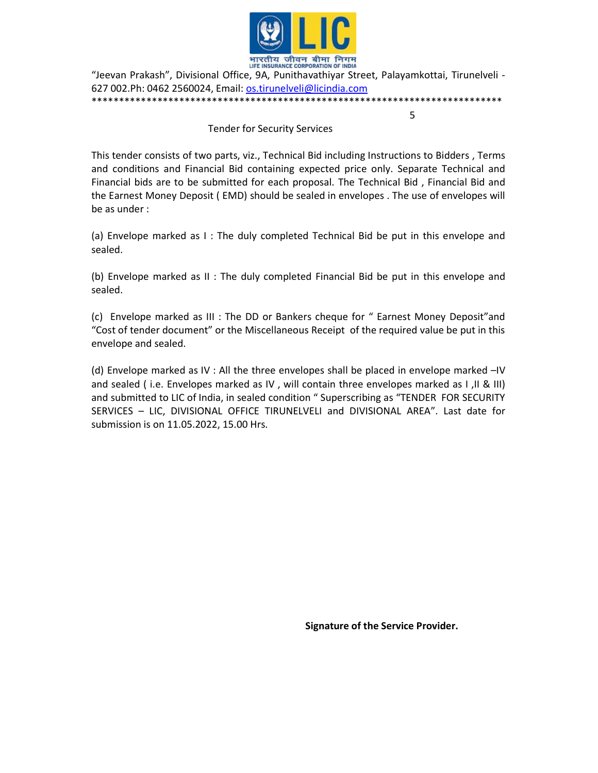

भारतीय जीवन बीमा निगम<br>HE INSURANCE CORPORATION OF INDIA<br>- Jeevan Prakash", Divisional Office, 9A, Punithavathiyar Street, Palayamkottai, Tirunelveli " 627 002.Ph: 0462 2560024, Email: os.tirunelveli@licindia.com \*\*\*\*\*\*\*\*\*\*\*\*\*\*\*\*\*\*\*\*\*\*\*\*\*\*\*\*\*\*\*\*\*\*\*\*\*\*\*\*\*\*\*\*\*\*\*\*\*\*\*\*\*\*\*\*\*\*\*\*\*\*\*\*\*\*\*\*\*\*\*\*\*\*\*

 $\sim$  5

### Tender for Security Services

This tender consists of two parts, viz., Technical Bid including Instructions to Bidders , Terms and conditions and Financial Bid containing expected price only. Separate Technical and Financial bids are to be submitted for each proposal. The Technical Bid , Financial Bid and the Earnest Money Deposit ( EMD) should be sealed in envelopes . The use of envelopes will be as under :

(a) Envelope marked as I : The duly completed Technical Bid be put in this envelope and sealed.

(b) Envelope marked as II : The duly completed Financial Bid be put in this envelope and sealed.

(c) Envelope marked as III : The DD or Bankers cheque for " Earnest Money Deposit"and "Cost of tender document" or the Miscellaneous Receipt of the required value be put in this envelope and sealed.

(d) Envelope marked as IV : All the three envelopes shall be placed in envelope marked –IV and sealed ( i.e. Envelopes marked as IV , will contain three envelopes marked as I ,II & III) and submitted to LIC of India, in sealed condition " Superscribing as "TENDER FOR SECURITY SERVICES – LIC, DIVISIONAL OFFICE TIRUNELVELI and DIVISIONAL AREA". Last date for submission is on 11.05.2022, 15.00 Hrs.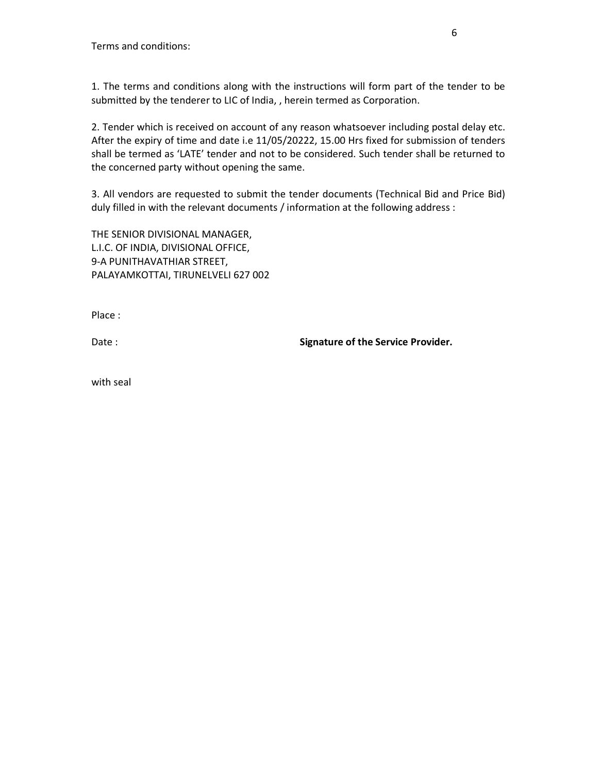1. The terms and conditions along with the instructions will form part of the tender to be submitted by the tenderer to LIC of India, , herein termed as Corporation.

2. Tender which is received on account of any reason whatsoever including postal delay etc. After the expiry of time and date i.e 11/05/20222, 15.00 Hrs fixed for submission of tenders shall be termed as 'LATE' tender and not to be considered. Such tender shall be returned to the concerned party without opening the same.

3. All vendors are requested to submit the tender documents (Technical Bid and Price Bid) duly filled in with the relevant documents / information at the following address :

THE SENIOR DIVISIONAL MANAGER, L.I.C. OF INDIA, DIVISIONAL OFFICE, 9-A PUNITHAVATHIAR STREET, PALAYAMKOTTAI, TIRUNELVELI 627 002

Place :

Date : Signature of the Service Provider.

with seal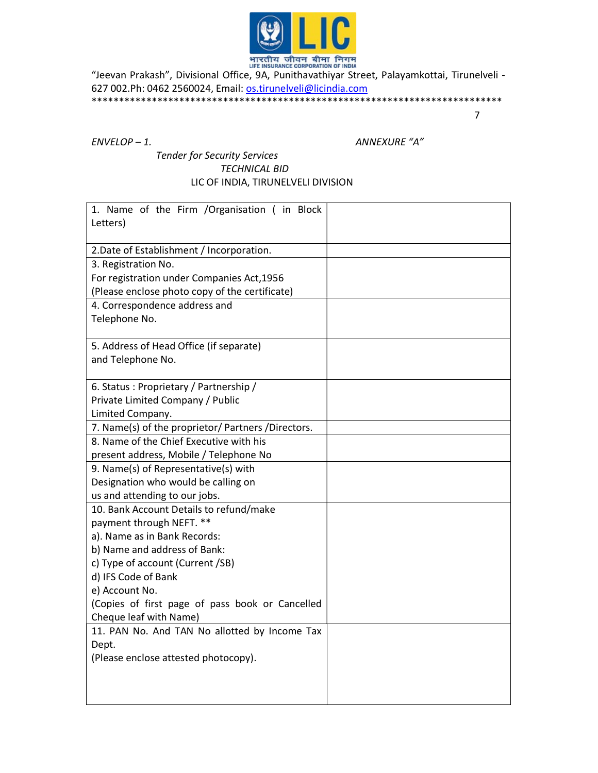

"Jeevan Prakash", Divisional Office, 9A, Punithavathiyar Street, Palayamkottai, Tirunelveli - 627 002.Ph: 0462 2560024, Email: os.tirunelveli@licindia.com \*\*\*\*\*\*\*\*\*\*\*\*\*\*\*\*\*\*\*\*\*\*\*\*\*\*\*\*\*\*\*\*\*\*\*\*\*\*\*\*\*\*\*\*\*\*\*\*\*\*\*\*\*\*\*\*\*\*\*\*\*\*\*\*\*\*\*\*\*\*\*\*\*\*\*

7

ENVELOP – 1. ANNEXURE "A"

# Tender for Security Services TECHNICAL BID LIC OF INDIA, TIRUNELVELI DIVISION

| 1. Name of the Firm / Organisation (in Block       |  |
|----------------------------------------------------|--|
| Letters)                                           |  |
| 2. Date of Establishment / Incorporation.          |  |
| 3. Registration No.                                |  |
| For registration under Companies Act, 1956         |  |
| (Please enclose photo copy of the certificate)     |  |
| 4. Correspondence address and                      |  |
| Telephone No.                                      |  |
| 5. Address of Head Office (if separate)            |  |
| and Telephone No.                                  |  |
|                                                    |  |
| 6. Status: Proprietary / Partnership /             |  |
| Private Limited Company / Public                   |  |
| Limited Company.                                   |  |
| 7. Name(s) of the proprietor/ Partners /Directors. |  |
| 8. Name of the Chief Executive with his            |  |
| present address, Mobile / Telephone No             |  |
| 9. Name(s) of Representative(s) with               |  |
| Designation who would be calling on                |  |
| us and attending to our jobs.                      |  |
| 10. Bank Account Details to refund/make            |  |
| payment through NEFT. **                           |  |
| a). Name as in Bank Records:                       |  |
| b) Name and address of Bank:                       |  |
| c) Type of account (Current /SB)                   |  |
| d) IFS Code of Bank                                |  |
| e) Account No.                                     |  |
| (Copies of first page of pass book or Cancelled    |  |
| Cheque leaf with Name)                             |  |
| 11. PAN No. And TAN No allotted by Income Tax      |  |
| Dept.                                              |  |
| (Please enclose attested photocopy).               |  |
|                                                    |  |
|                                                    |  |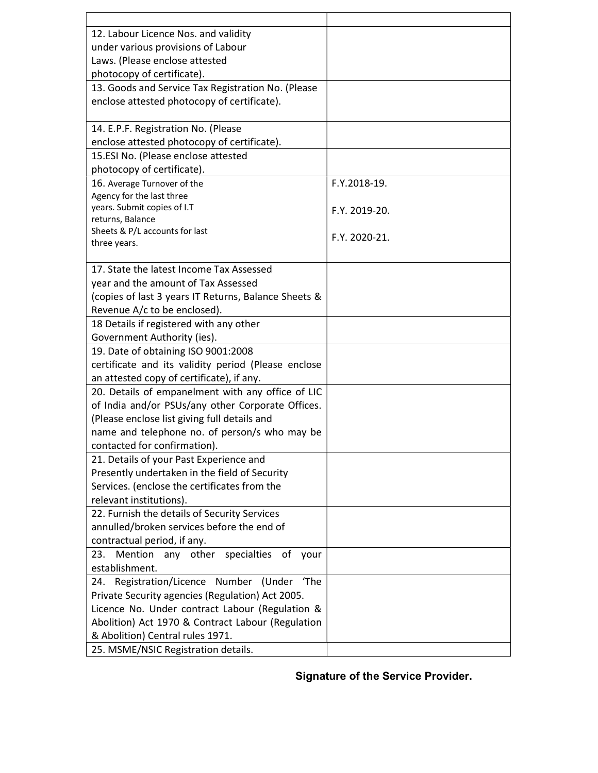| 12. Labour Licence Nos. and validity                     |               |
|----------------------------------------------------------|---------------|
| under various provisions of Labour                       |               |
| Laws. (Please enclose attested                           |               |
| photocopy of certificate).                               |               |
| 13. Goods and Service Tax Registration No. (Please       |               |
| enclose attested photocopy of certificate).              |               |
|                                                          |               |
| 14. E.P.F. Registration No. (Please                      |               |
| enclose attested photocopy of certificate).              |               |
| 15.ESI No. (Please enclose attested                      |               |
| photocopy of certificate).                               |               |
| 16. Average Turnover of the                              | F.Y.2018-19.  |
| Agency for the last three                                |               |
| years. Submit copies of I.T                              | F.Y. 2019-20. |
| returns, Balance                                         |               |
| Sheets & P/L accounts for last                           | F.Y. 2020-21. |
| three years.                                             |               |
| 17. State the latest Income Tax Assessed                 |               |
| year and the amount of Tax Assessed                      |               |
| (copies of last 3 years IT Returns, Balance Sheets &     |               |
| Revenue A/c to be enclosed).                             |               |
| 18 Details if registered with any other                  |               |
| Government Authority (ies).                              |               |
| 19. Date of obtaining ISO 9001:2008                      |               |
| certificate and its validity period (Please enclose      |               |
| an attested copy of certificate), if any.                |               |
| 20. Details of empanelment with any office of LIC        |               |
| of India and/or PSUs/any other Corporate Offices.        |               |
| (Please enclose list giving full details and             |               |
| name and telephone no. of person/s who may be            |               |
| contacted for confirmation).                             |               |
| 21. Details of your Past Experience and                  |               |
| Presently undertaken in the field of Security            |               |
| Services. (enclose the certificates from the             |               |
| relevant institutions).                                  |               |
| 22. Furnish the details of Security Services             |               |
| annulled/broken services before the end of               |               |
| contractual period, if any.                              |               |
| Mention<br>any<br>other<br>specialties<br>23.<br>of your |               |
| establishment.                                           |               |
| 24. Registration/Licence Number (Under 'The              |               |
| Private Security agencies (Regulation) Act 2005.         |               |
| Licence No. Under contract Labour (Regulation &          |               |
| Abolition) Act 1970 & Contract Labour (Regulation        |               |
| & Abolition) Central rules 1971.                         |               |
| 25. MSME/NSIC Registration details.                      |               |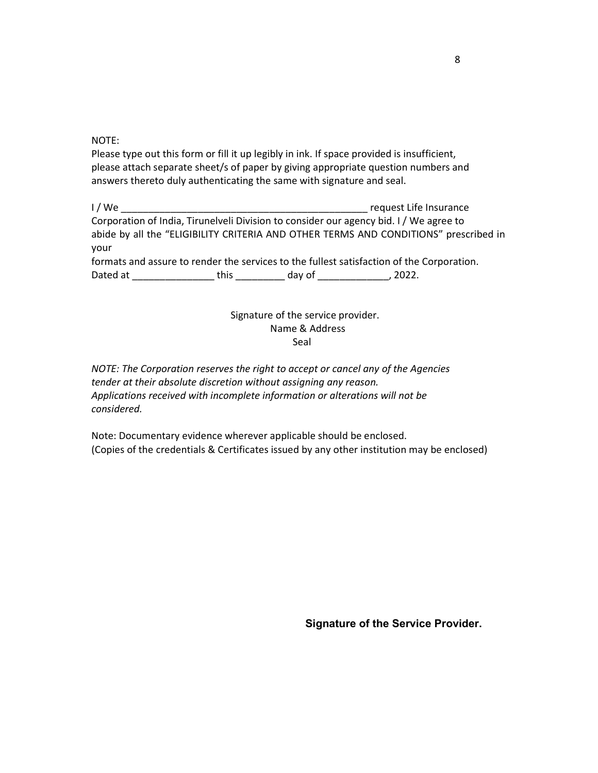NOTE:

Please type out this form or fill it up legibly in ink. If space provided is insufficient, please attach separate sheet/s of paper by giving appropriate question numbers and answers thereto duly authenticating the same with signature and seal.

| I / We                                                                                    |       |        | request Life Insurance                                                                 |  |
|-------------------------------------------------------------------------------------------|-------|--------|----------------------------------------------------------------------------------------|--|
|                                                                                           |       |        | Corporation of India, Tirunelveli Division to consider our agency bid. I / We agree to |  |
| abide by all the "ELIGIBILITY CRITERIA AND OTHER TERMS AND CONDITIONS" prescribed in      |       |        |                                                                                        |  |
| vour                                                                                      |       |        |                                                                                        |  |
| formats and assure to render the services to the fullest satisfaction of the Corporation. |       |        |                                                                                        |  |
| Dated at                                                                                  | this. | day of | 2022.                                                                                  |  |

# Signature of the service provider. Name & Address **Seal** and the contract of the contract of the Seal Seal and the Seal of the Seal of the Seal of the Seal of the Se

NOTE: The Corporation reserves the right to accept or cancel any of the Agencies tender at their absolute discretion without assigning any reason. Applications received with incomplete information or alterations will not be considered.

Note: Documentary evidence wherever applicable should be enclosed. (Copies of the credentials & Certificates issued by any other institution may be enclosed)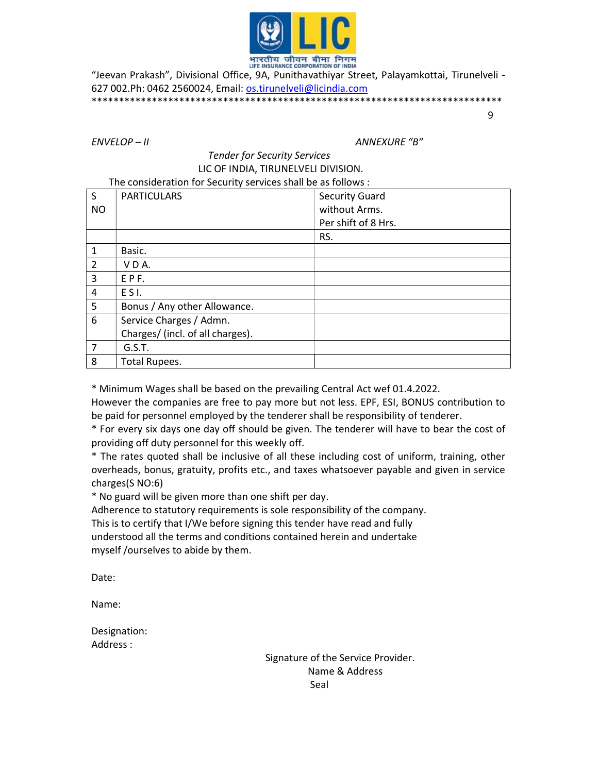

भारतीय जीवन बीमा निगम<br>HE INSURANCE CORPORATION OF INDIA<br>- Jeevan Prakash", Divisional Office, 9A, Punithavathiyar Street, Palayamkottai, Tirunelveli " 627 002.Ph: 0462 2560024, Email: os.tirunelveli@licindia.com \*\*\*\*\*\*\*\*\*\*\*\*\*\*\*\*\*\*\*\*\*\*\*\*\*\*\*\*\*\*\*\*\*\*\*\*\*\*\*\*\*\*\*\*\*\*\*\*\*\*\*\*\*\*\*\*\*\*\*\*\*\*\*\*\*\*\*\*\*\*\*\*\*\*\*

9

ENVELOP – II ANNEXURE "B"

## Tender for Security Services LIC OF INDIA, TIRUNELVELI DIVISION. The consideration for Security services shall be as follows :

| S              | <b>PARTICULARS</b>               | <b>Security Guard</b> |
|----------------|----------------------------------|-----------------------|
| <b>NO</b>      |                                  | without Arms.         |
|                |                                  | Per shift of 8 Hrs.   |
|                |                                  | RS.                   |
| $\mathbf{1}$   | Basic.                           |                       |
| $\overline{2}$ | VDA.                             |                       |
| 3              | EPF.                             |                       |
| 4              | ESI.                             |                       |
| 5              | Bonus / Any other Allowance.     |                       |
| 6              | Service Charges / Admn.          |                       |
|                | Charges/ (incl. of all charges). |                       |
| $\overline{7}$ | G.S.T.                           |                       |
| 8              | <b>Total Rupees.</b>             |                       |

\* Minimum Wages shall be based on the prevailing Central Act wef 01.4.2022.

However the companies are free to pay more but not less. EPF, ESI, BONUS contribution to be paid for personnel employed by the tenderer shall be responsibility of tenderer.

\* For every six days one day off should be given. The tenderer will have to bear the cost of providing off duty personnel for this weekly off.

\* The rates quoted shall be inclusive of all these including cost of uniform, training, other overheads, bonus, gratuity, profits etc., and taxes whatsoever payable and given in service charges(S NO:6)

\* No guard will be given more than one shift per day.

Adherence to statutory requirements is sole responsibility of the company. This is to certify that I/We before signing this tender have read and fully understood all the terms and conditions contained herein and undertake myself /ourselves to abide by them.

Date:

Name:

Designation: Address :

 Signature of the Service Provider. Name & Address **Seal** and the contract of the contract of the Seal and the Seal and the Seal and the Seal and the Seal and the Se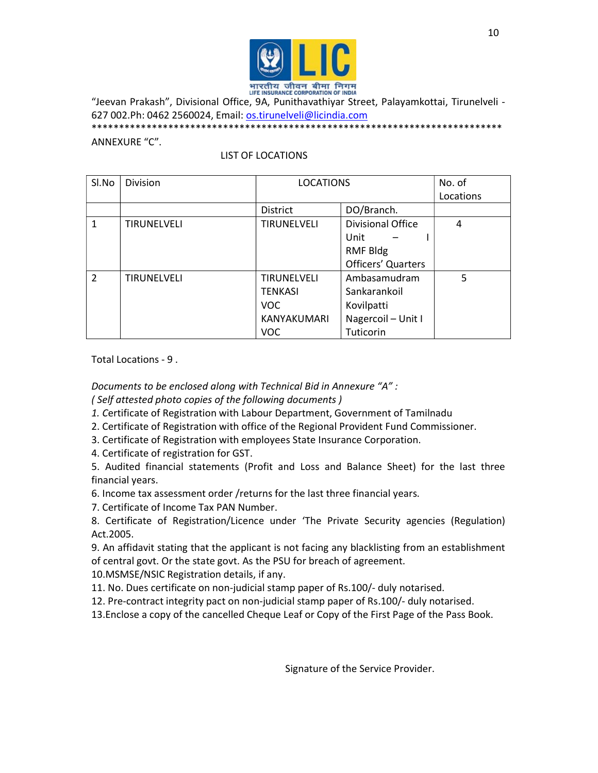

"Jeevan Prakash", Divisional Office, 9A, Punithavathiyar Street, Palayamkottai, Tirunelveli - 627 002.Ph: 0462 2560024, Email: os.tirunelveli@licindia.com

\*\*\*\*\*\*\*\*\*\*\*\*\*\*\*\*\*\*\*\*\*\*\*\*\*\*\*\*\*\*\*\*\*\*\*\*\*\*\*\*\*\*\*\*\*\*\*\*\*\*\*\*\*\*\*\*\*\*\*\*\*\*\*\*\*\*\*\*\*\*\*\*\*\*\*

## ANNEXURE "C".

# LIST OF LOCATIONS

| SI.No          | Division           | <b>LOCATIONS</b>   |                          | No. of    |
|----------------|--------------------|--------------------|--------------------------|-----------|
|                |                    |                    |                          | Locations |
|                |                    | <b>District</b>    | DO/Branch.               |           |
| $\mathbf{1}$   | <b>TIRUNELVELI</b> | TIRUNELVELI        | <b>Divisional Office</b> | 4         |
|                |                    |                    | Unit                     |           |
|                |                    |                    | <b>RMF Bldg</b>          |           |
|                |                    |                    | Officers' Quarters       |           |
| $\overline{2}$ | <b>TIRUNELVELI</b> | <b>TIRUNELVELI</b> | Ambasamudram             | 5         |
|                |                    | <b>TENKASI</b>     | Sankarankoil             |           |
|                |                    | VOC.               | Kovilpatti               |           |
|                |                    | KANYAKUMARI        | Nagercoil - Unit I       |           |
|                |                    | <b>VOC</b>         | Tuticorin                |           |

Total Locations - 9 .

Documents to be enclosed along with Technical Bid in Annexure "A" :

( Self attested photo copies of the following documents )

- 1. Certificate of Registration with Labour Department, Government of Tamilnadu
- 2. Certificate of Registration with office of the Regional Provident Fund Commissioner.
- 3. Certificate of Registration with employees State Insurance Corporation.
- 4. Certificate of registration for GST.
- 5. Audited financial statements (Profit and Loss and Balance Sheet) for the last three financial years.
- 6. Income tax assessment order /returns for the last three financial years.
- 7. Certificate of Income Tax PAN Number.
- 8. Certificate of Registration/Licence under 'The Private Security agencies (Regulation) Act.2005.
- 9. An affidavit stating that the applicant is not facing any blacklisting from an establishment of central govt. Or the state govt. As the PSU for breach of agreement.
- 10.MSMSE/NSIC Registration details, if any.
- 11. No. Dues certificate on non-judicial stamp paper of Rs.100/- duly notarised.
- 12. Pre-contract integrity pact on non-judicial stamp paper of Rs.100/- duly notarised.
- 13.Enclose a copy of the cancelled Cheque Leaf or Copy of the First Page of the Pass Book.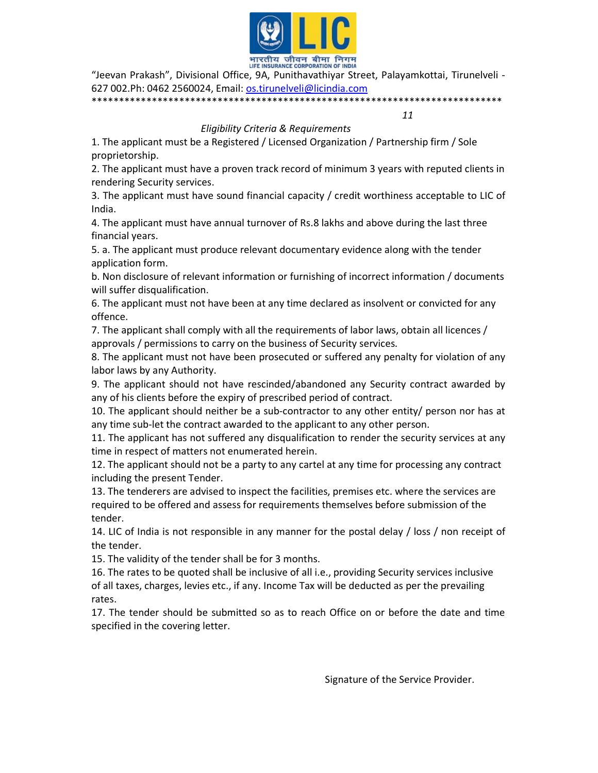

"Jeevan Prakash", Divisional Office, 9A, Punithavathiyar Street, Palayamkottai, Tirunelveli - 627 002.Ph: 0462 2560024, Email: os.tirunelveli@licindia.com

\*\*\*\*\*\*\*\*\*\*\*\*\*\*\*\*\*\*\*\*\*\*\*\*\*\*\*\*\*\*\*\*\*\*\*\*\*\*\*\*\*\*\*\*\*\*\*\*\*\*\*\*\*\*\*\*\*\*\*\*\*\*\*\*\*\*\*\*\*\*\*\*\*\*\*

11

# Eligibility Criteria & Requirements

1. The applicant must be a Registered / Licensed Organization / Partnership firm / Sole proprietorship.

2. The applicant must have a proven track record of minimum 3 years with reputed clients in rendering Security services.

3. The applicant must have sound financial capacity / credit worthiness acceptable to LIC of India.

4. The applicant must have annual turnover of Rs.8 lakhs and above during the last three financial years.

5. a. The applicant must produce relevant documentary evidence along with the tender application form.

b. Non disclosure of relevant information or furnishing of incorrect information / documents will suffer disqualification.

6. The applicant must not have been at any time declared as insolvent or convicted for any offence.

7. The applicant shall comply with all the requirements of labor laws, obtain all licences / approvals / permissions to carry on the business of Security services.

8. The applicant must not have been prosecuted or suffered any penalty for violation of any labor laws by any Authority.

9. The applicant should not have rescinded/abandoned any Security contract awarded by any of his clients before the expiry of prescribed period of contract.

10. The applicant should neither be a sub-contractor to any other entity/ person nor has at any time sub-let the contract awarded to the applicant to any other person.

11. The applicant has not suffered any disqualification to render the security services at any time in respect of matters not enumerated herein.

12. The applicant should not be a party to any cartel at any time for processing any contract including the present Tender.

13. The tenderers are advised to inspect the facilities, premises etc. where the services are required to be offered and assess for requirements themselves before submission of the tender.

14. LIC of India is not responsible in any manner for the postal delay / loss / non receipt of the tender.

15. The validity of the tender shall be for 3 months.

16. The rates to be quoted shall be inclusive of all i.e., providing Security services inclusive of all taxes, charges, levies etc., if any. Income Tax will be deducted as per the prevailing rates.

17. The tender should be submitted so as to reach Office on or before the date and time specified in the covering letter.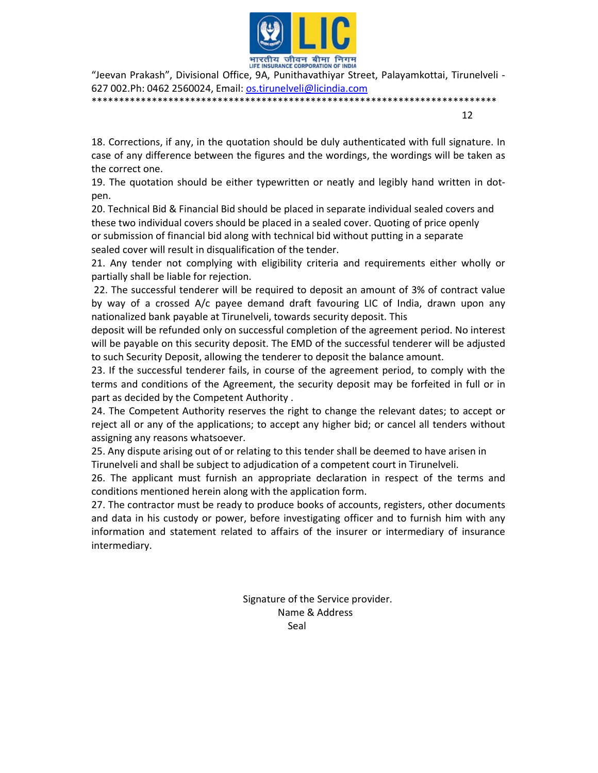

"Jeevan Prakash", Divisional Office, 9A, Punithavathiyar Street, Palayamkottai, Tirunelveli - 627 002.Ph: 0462 2560024, Email: os.tirunelveli@licindia.com

\*\*\*\*\*\*\*\*\*\*\*\*\*\*\*\*\*\*\*\*\*\*\*\*\*\*\*\*\*\*\*\*\*\*\*\*\*\*\*\*\*\*\*\*\*\*\*\*\*\*\*\*\*\*\*\*\*\*\*\*\*\*\*\*\*\*\*\*\*\*\*\*\*\* 12

18. Corrections, if any, in the quotation should be duly authenticated with full signature. In case of any difference between the figures and the wordings, the wordings will be taken as the correct one.

19. The quotation should be either typewritten or neatly and legibly hand written in dotpen.

20. Technical Bid & Financial Bid should be placed in separate individual sealed covers and these two individual covers should be placed in a sealed cover. Quoting of price openly or submission of financial bid along with technical bid without putting in a separate sealed cover will result in disqualification of the tender.

21. Any tender not complying with eligibility criteria and requirements either wholly or partially shall be liable for rejection.

 22. The successful tenderer will be required to deposit an amount of 3% of contract value by way of a crossed A/c payee demand draft favouring LIC of India, drawn upon any nationalized bank payable at Tirunelveli, towards security deposit. This

deposit will be refunded only on successful completion of the agreement period. No interest will be payable on this security deposit. The EMD of the successful tenderer will be adjusted to such Security Deposit, allowing the tenderer to deposit the balance amount.

23. If the successful tenderer fails, in course of the agreement period, to comply with the terms and conditions of the Agreement, the security deposit may be forfeited in full or in part as decided by the Competent Authority .

24. The Competent Authority reserves the right to change the relevant dates; to accept or reject all or any of the applications; to accept any higher bid; or cancel all tenders without assigning any reasons whatsoever.

25. Any dispute arising out of or relating to this tender shall be deemed to have arisen in Tirunelveli and shall be subject to adjudication of a competent court in Tirunelveli.

26. The applicant must furnish an appropriate declaration in respect of the terms and conditions mentioned herein along with the application form.

27. The contractor must be ready to produce books of accounts, registers, other documents and data in his custody or power, before investigating officer and to furnish him with any information and statement related to affairs of the insurer or intermediary of insurance intermediary.

 Signature of the Service provider. Name & Address Seal and the contract of the Seal Seal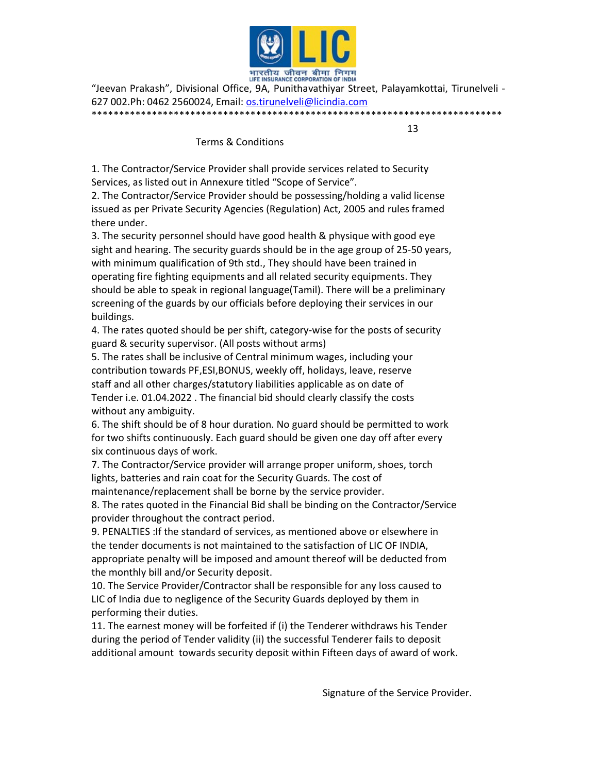

"Jeevan Prakash", Divisional Office, 9A, Punithavathiyar Street, Palayamkottai, Tirunelveli - 627 002.Ph: 0462 2560024, Email: os.tirunelveli@licindia.com \*\*\*\*\*\*\*\*\*\*\*\*\*\*\*\*\*\*\*\*\*\*\*\*\*\*\*\*\*\*\*\*\*\*\*\*\*\*\*\*\*\*\*\*\*\*\*\*\*\*\*\*\*\*\*\*\*\*\*\*\*\*\*\*\*\*\*\*\*\*\*\*\*\*\*

13

Terms & Conditions

1. The Contractor/Service Provider shall provide services related to Security Services, as listed out in Annexure titled "Scope of Service".

2. The Contractor/Service Provider should be possessing/holding a valid license issued as per Private Security Agencies (Regulation) Act, 2005 and rules framed there under.

3. The security personnel should have good health & physique with good eye sight and hearing. The security guards should be in the age group of 25-50 years, with minimum qualification of 9th std., They should have been trained in operating fire fighting equipments and all related security equipments. They should be able to speak in regional language(Tamil). There will be a preliminary screening of the guards by our officials before deploying their services in our buildings.

4. The rates quoted should be per shift, category-wise for the posts of security guard & security supervisor. (All posts without arms)

5. The rates shall be inclusive of Central minimum wages, including your contribution towards PF,ESI,BONUS, weekly off, holidays, leave, reserve staff and all other charges/statutory liabilities applicable as on date of Tender i.e. 01.04.2022 . The financial bid should clearly classify the costs without any ambiguity.

6. The shift should be of 8 hour duration. No guard should be permitted to work for two shifts continuously. Each guard should be given one day off after every six continuous days of work.

7. The Contractor/Service provider will arrange proper uniform, shoes, torch lights, batteries and rain coat for the Security Guards. The cost of maintenance/replacement shall be borne by the service provider.

8. The rates quoted in the Financial Bid shall be binding on the Contractor/Service provider throughout the contract period.

9. PENALTIES :If the standard of services, as mentioned above or elsewhere in the tender documents is not maintained to the satisfaction of LIC OF INDIA, appropriate penalty will be imposed and amount thereof will be deducted from the monthly bill and/or Security deposit.

10. The Service Provider/Contractor shall be responsible for any loss caused to LIC of India due to negligence of the Security Guards deployed by them in performing their duties.

11. The earnest money will be forfeited if (i) the Tenderer withdraws his Tender during the period of Tender validity (ii) the successful Tenderer fails to deposit additional amount towards security deposit within Fifteen days of award of work.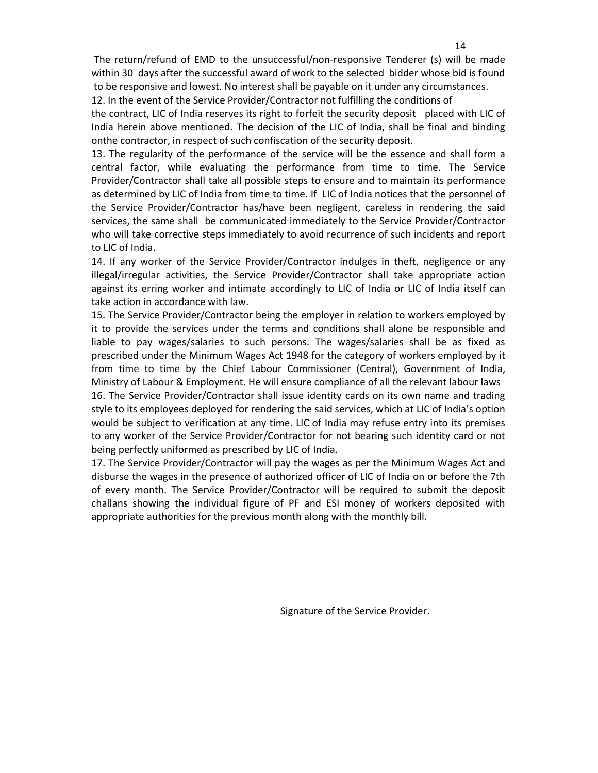The return/refund of EMD to the unsuccessful/non-responsive Tenderer (s) will be made within 30 days after the successful award of work to the selected bidder whose bid is found to be responsive and lowest. No interest shall be payable on it under any circumstances.

12. In the event of the Service Provider/Contractor not fulfilling the conditions of the contract, LIC of India reserves its right to forfeit the security deposit placed with LIC of India herein above mentioned. The decision of the LIC of India, shall be final and binding onthe contractor, in respect of such confiscation of the security deposit.

13. The regularity of the performance of the service will be the essence and shall form a central factor, while evaluating the performance from time to time. The Service Provider/Contractor shall take all possible steps to ensure and to maintain its performance as determined by LIC of India from time to time. If LIC of India notices that the personnel of the Service Provider/Contractor has/have been negligent, careless in rendering the said services, the same shall be communicated immediately to the Service Provider/Contractor who will take corrective steps immediately to avoid recurrence of such incidents and report to LIC of India.

14. If any worker of the Service Provider/Contractor indulges in theft, negligence or any illegal/irregular activities, the Service Provider/Contractor shall take appropriate action against its erring worker and intimate accordingly to LIC of India or LIC of India itself can take action in accordance with law.

15. The Service Provider/Contractor being the employer in relation to workers employed by it to provide the services under the terms and conditions shall alone be responsible and liable to pay wages/salaries to such persons. The wages/salaries shall be as fixed as prescribed under the Minimum Wages Act 1948 for the category of workers employed by it from time to time by the Chief Labour Commissioner (Central), Government of India, Ministry of Labour & Employment. He will ensure compliance of all the relevant labour laws

16. The Service Provider/Contractor shall issue identity cards on its own name and trading style to its employees deployed for rendering the said services, which at LIC of India's option would be subject to verification at any time. LIC of India may refuse entry into its premises to any worker of the Service Provider/Contractor for not bearing such identity card or not being perfectly uniformed as prescribed by LIC of India.

17. The Service Provider/Contractor will pay the wages as per the Minimum Wages Act and disburse the wages in the presence of authorized officer of LIC of India on or before the 7th of every month. The Service Provider/Contractor will be required to submit the deposit challans showing the individual figure of PF and ESI money of workers deposited with appropriate authorities for the previous month along with the monthly bill.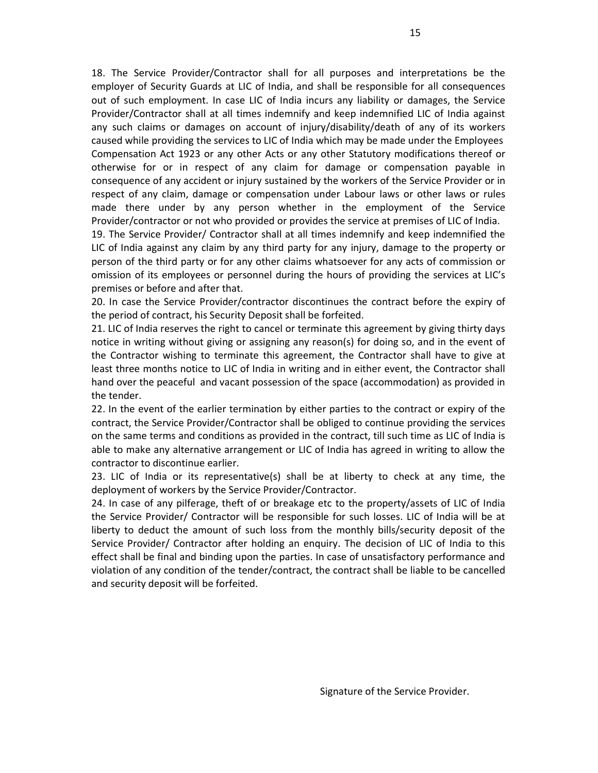18. The Service Provider/Contractor shall for all purposes and interpretations be the employer of Security Guards at LIC of India, and shall be responsible for all consequences out of such employment. In case LIC of India incurs any liability or damages, the Service Provider/Contractor shall at all times indemnify and keep indemnified LIC of India against any such claims or damages on account of injury/disability/death of any of its workers caused while providing the services to LIC of India which may be made under the Employees Compensation Act 1923 or any other Acts or any other Statutory modifications thereof or otherwise for or in respect of any claim for damage or compensation payable in consequence of any accident or injury sustained by the workers of the Service Provider or in respect of any claim, damage or compensation under Labour laws or other laws or rules made there under by any person whether in the employment of the Service Provider/contractor or not who provided or provides the service at premises of LIC of India. 19. The Service Provider/ Contractor shall at all times indemnify and keep indemnified the LIC of India against any claim by any third party for any injury, damage to the property or

person of the third party or for any other claims whatsoever for any acts of commission or omission of its employees or personnel during the hours of providing the services at LIC's premises or before and after that.

20. In case the Service Provider/contractor discontinues the contract before the expiry of the period of contract, his Security Deposit shall be forfeited.

21. LIC of India reserves the right to cancel or terminate this agreement by giving thirty days notice in writing without giving or assigning any reason(s) for doing so, and in the event of the Contractor wishing to terminate this agreement, the Contractor shall have to give at least three months notice to LIC of India in writing and in either event, the Contractor shall hand over the peaceful and vacant possession of the space (accommodation) as provided in the tender.

22. In the event of the earlier termination by either parties to the contract or expiry of the contract, the Service Provider/Contractor shall be obliged to continue providing the services on the same terms and conditions as provided in the contract, till such time as LIC of India is able to make any alternative arrangement or LIC of India has agreed in writing to allow the contractor to discontinue earlier.

23. LIC of India or its representative(s) shall be at liberty to check at any time, the deployment of workers by the Service Provider/Contractor.

24. In case of any pilferage, theft of or breakage etc to the property/assets of LIC of India the Service Provider/ Contractor will be responsible for such losses. LIC of India will be at liberty to deduct the amount of such loss from the monthly bills/security deposit of the Service Provider/ Contractor after holding an enquiry. The decision of LIC of India to this effect shall be final and binding upon the parties. In case of unsatisfactory performance and violation of any condition of the tender/contract, the contract shall be liable to be cancelled and security deposit will be forfeited.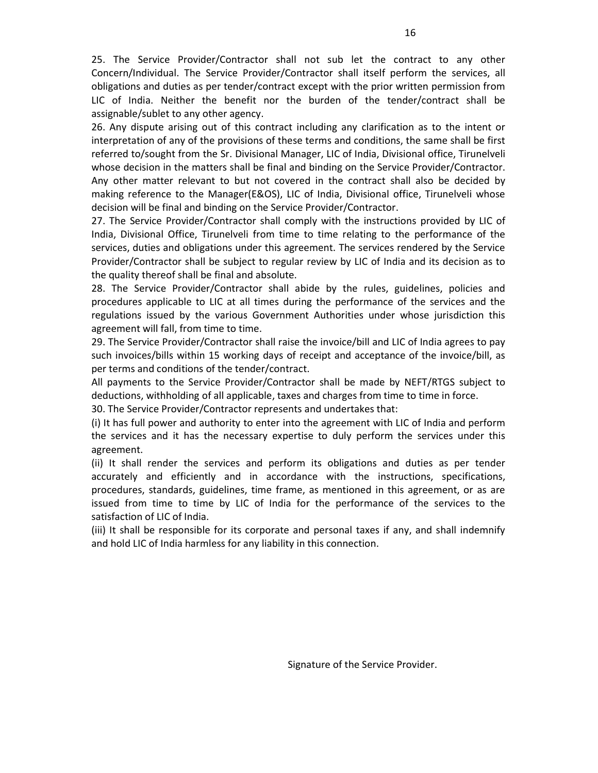25. The Service Provider/Contractor shall not sub let the contract to any other Concern/Individual. The Service Provider/Contractor shall itself perform the services, all obligations and duties as per tender/contract except with the prior written permission from LIC of India. Neither the benefit nor the burden of the tender/contract shall be assignable/sublet to any other agency.

26. Any dispute arising out of this contract including any clarification as to the intent or interpretation of any of the provisions of these terms and conditions, the same shall be first referred to/sought from the Sr. Divisional Manager, LIC of India, Divisional office, Tirunelveli whose decision in the matters shall be final and binding on the Service Provider/Contractor. Any other matter relevant to but not covered in the contract shall also be decided by making reference to the Manager(E&OS), LIC of India, Divisional office, Tirunelveli whose decision will be final and binding on the Service Provider/Contractor.

27. The Service Provider/Contractor shall comply with the instructions provided by LIC of India, Divisional Office, Tirunelveli from time to time relating to the performance of the services, duties and obligations under this agreement. The services rendered by the Service Provider/Contractor shall be subject to regular review by LIC of India and its decision as to the quality thereof shall be final and absolute.

28. The Service Provider/Contractor shall abide by the rules, guidelines, policies and procedures applicable to LIC at all times during the performance of the services and the regulations issued by the various Government Authorities under whose jurisdiction this agreement will fall, from time to time.

29. The Service Provider/Contractor shall raise the invoice/bill and LIC of India agrees to pay such invoices/bills within 15 working days of receipt and acceptance of the invoice/bill, as per terms and conditions of the tender/contract.

All payments to the Service Provider/Contractor shall be made by NEFT/RTGS subject to deductions, withholding of all applicable, taxes and charges from time to time in force.

30. The Service Provider/Contractor represents and undertakes that:

(i) It has full power and authority to enter into the agreement with LIC of India and perform the services and it has the necessary expertise to duly perform the services under this agreement.

(ii) It shall render the services and perform its obligations and duties as per tender accurately and efficiently and in accordance with the instructions, specifications, procedures, standards, guidelines, time frame, as mentioned in this agreement, or as are issued from time to time by LIC of India for the performance of the services to the satisfaction of LIC of India.

(iii) It shall be responsible for its corporate and personal taxes if any, and shall indemnify and hold LIC of India harmless for any liability in this connection.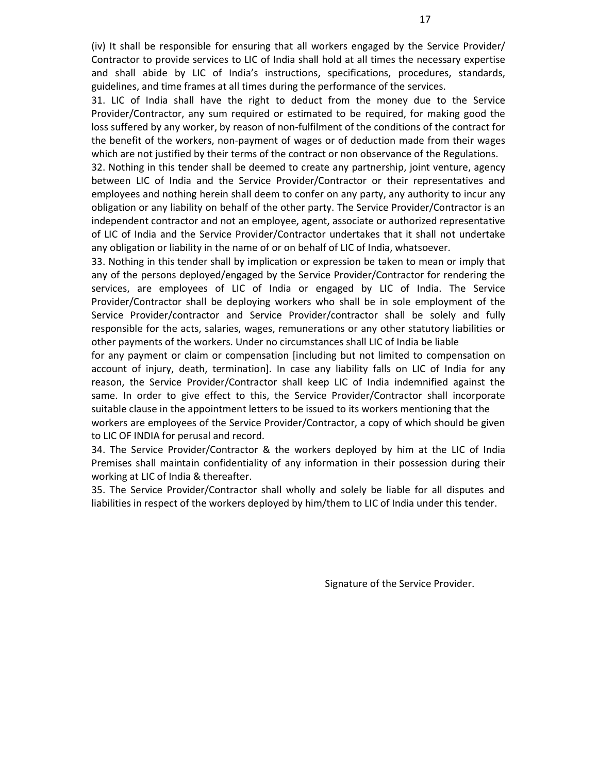(iv) It shall be responsible for ensuring that all workers engaged by the Service Provider/ Contractor to provide services to LIC of India shall hold at all times the necessary expertise and shall abide by LIC of India's instructions, specifications, procedures, standards, guidelines, and time frames at all times during the performance of the services.

31. LIC of India shall have the right to deduct from the money due to the Service Provider/Contractor, any sum required or estimated to be required, for making good the loss suffered by any worker, by reason of non-fulfilment of the conditions of the contract for the benefit of the workers, non-payment of wages or of deduction made from their wages which are not justified by their terms of the contract or non observance of the Regulations.

32. Nothing in this tender shall be deemed to create any partnership, joint venture, agency between LIC of India and the Service Provider/Contractor or their representatives and employees and nothing herein shall deem to confer on any party, any authority to incur any obligation or any liability on behalf of the other party. The Service Provider/Contractor is an independent contractor and not an employee, agent, associate or authorized representative of LIC of India and the Service Provider/Contractor undertakes that it shall not undertake any obligation or liability in the name of or on behalf of LIC of India, whatsoever.

33. Nothing in this tender shall by implication or expression be taken to mean or imply that any of the persons deployed/engaged by the Service Provider/Contractor for rendering the services, are employees of LIC of India or engaged by LIC of India. The Service Provider/Contractor shall be deploying workers who shall be in sole employment of the Service Provider/contractor and Service Provider/contractor shall be solely and fully responsible for the acts, salaries, wages, remunerations or any other statutory liabilities or other payments of the workers. Under no circumstances shall LIC of India be liable

for any payment or claim or compensation [including but not limited to compensation on account of injury, death, termination]. In case any liability falls on LIC of India for any reason, the Service Provider/Contractor shall keep LIC of India indemnified against the same. In order to give effect to this, the Service Provider/Contractor shall incorporate suitable clause in the appointment letters to be issued to its workers mentioning that the workers are employees of the Service Provider/Contractor, a copy of which should be given to LIC OF INDIA for perusal and record.

34. The Service Provider/Contractor & the workers deployed by him at the LIC of India Premises shall maintain confidentiality of any information in their possession during their working at LIC of India & thereafter.

35. The Service Provider/Contractor shall wholly and solely be liable for all disputes and liabilities in respect of the workers deployed by him/them to LIC of India under this tender.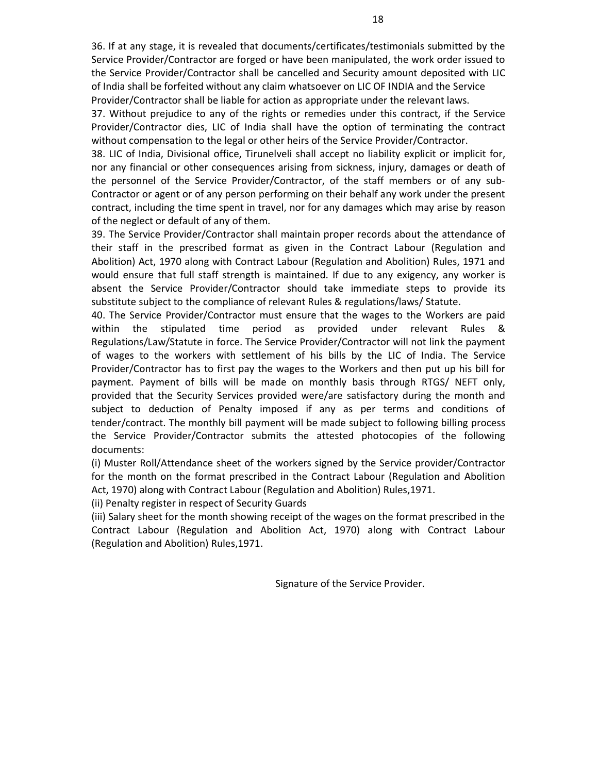36. If at any stage, it is revealed that documents/certificates/testimonials submitted by the Service Provider/Contractor are forged or have been manipulated, the work order issued to the Service Provider/Contractor shall be cancelled and Security amount deposited with LIC of India shall be forfeited without any claim whatsoever on LIC OF INDIA and the Service Provider/Contractor shall be liable for action as appropriate under the relevant laws.

37. Without prejudice to any of the rights or remedies under this contract, if the Service Provider/Contractor dies, LIC of India shall have the option of terminating the contract without compensation to the legal or other heirs of the Service Provider/Contractor.

38. LIC of India, Divisional office, Tirunelveli shall accept no liability explicit or implicit for, nor any financial or other consequences arising from sickness, injury, damages or death of the personnel of the Service Provider/Contractor, of the staff members or of any sub-Contractor or agent or of any person performing on their behalf any work under the present contract, including the time spent in travel, nor for any damages which may arise by reason of the neglect or default of any of them.

39. The Service Provider/Contractor shall maintain proper records about the attendance of their staff in the prescribed format as given in the Contract Labour (Regulation and Abolition) Act, 1970 along with Contract Labour (Regulation and Abolition) Rules, 1971 and would ensure that full staff strength is maintained. If due to any exigency, any worker is absent the Service Provider/Contractor should take immediate steps to provide its substitute subject to the compliance of relevant Rules & regulations/laws/ Statute.

40. The Service Provider/Contractor must ensure that the wages to the Workers are paid within the stipulated time period as provided under relevant Rules & Regulations/Law/Statute in force. The Service Provider/Contractor will not link the payment of wages to the workers with settlement of his bills by the LIC of India. The Service Provider/Contractor has to first pay the wages to the Workers and then put up his bill for payment. Payment of bills will be made on monthly basis through RTGS/ NEFT only, provided that the Security Services provided were/are satisfactory during the month and subject to deduction of Penalty imposed if any as per terms and conditions of tender/contract. The monthly bill payment will be made subject to following billing process the Service Provider/Contractor submits the attested photocopies of the following documents:

(i) Muster Roll/Attendance sheet of the workers signed by the Service provider/Contractor for the month on the format prescribed in the Contract Labour (Regulation and Abolition Act, 1970) along with Contract Labour (Regulation and Abolition) Rules,1971.

(ii) Penalty register in respect of Security Guards

(iii) Salary sheet for the month showing receipt of the wages on the format prescribed in the Contract Labour (Regulation and Abolition Act, 1970) along with Contract Labour (Regulation and Abolition) Rules,1971.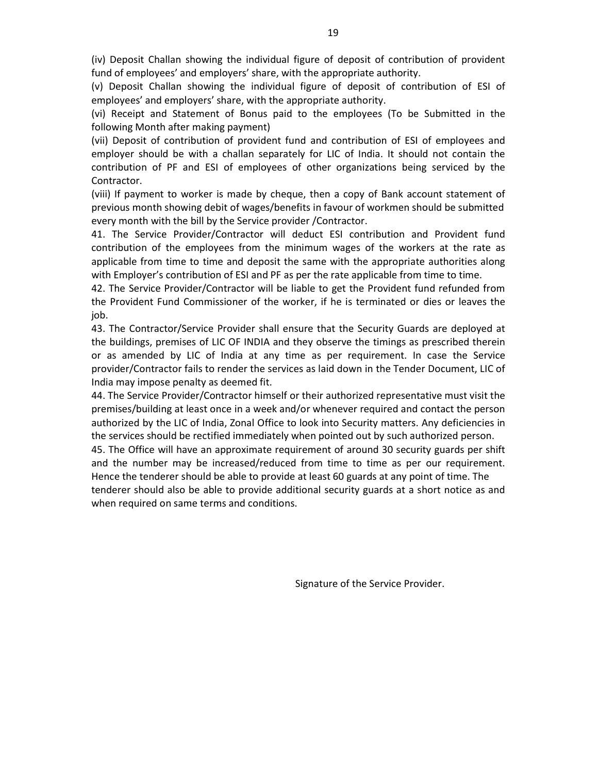(iv) Deposit Challan showing the individual figure of deposit of contribution of provident fund of employees' and employers' share, with the appropriate authority.

(v) Deposit Challan showing the individual figure of deposit of contribution of ESI of employees' and employers' share, with the appropriate authority.

(vi) Receipt and Statement of Bonus paid to the employees (To be Submitted in the following Month after making payment)

(vii) Deposit of contribution of provident fund and contribution of ESI of employees and employer should be with a challan separately for LIC of India. It should not contain the contribution of PF and ESI of employees of other organizations being serviced by the Contractor.

(viii) If payment to worker is made by cheque, then a copy of Bank account statement of previous month showing debit of wages/benefits in favour of workmen should be submitted every month with the bill by the Service provider /Contractor.

41. The Service Provider/Contractor will deduct ESI contribution and Provident fund contribution of the employees from the minimum wages of the workers at the rate as applicable from time to time and deposit the same with the appropriate authorities along with Employer's contribution of ESI and PF as per the rate applicable from time to time.

42. The Service Provider/Contractor will be liable to get the Provident fund refunded from the Provident Fund Commissioner of the worker, if he is terminated or dies or leaves the job.

43. The Contractor/Service Provider shall ensure that the Security Guards are deployed at the buildings, premises of LIC OF INDIA and they observe the timings as prescribed therein or as amended by LIC of India at any time as per requirement. In case the Service provider/Contractor fails to render the services as laid down in the Tender Document, LIC of India may impose penalty as deemed fit.

44. The Service Provider/Contractor himself or their authorized representative must visit the premises/building at least once in a week and/or whenever required and contact the person authorized by the LIC of India, Zonal Office to look into Security matters. Any deficiencies in the services should be rectified immediately when pointed out by such authorized person.

45. The Office will have an approximate requirement of around 30 security guards per shift and the number may be increased/reduced from time to time as per our requirement. Hence the tenderer should be able to provide at least 60 guards at any point of time. The tenderer should also be able to provide additional security guards at a short notice as and when required on same terms and conditions.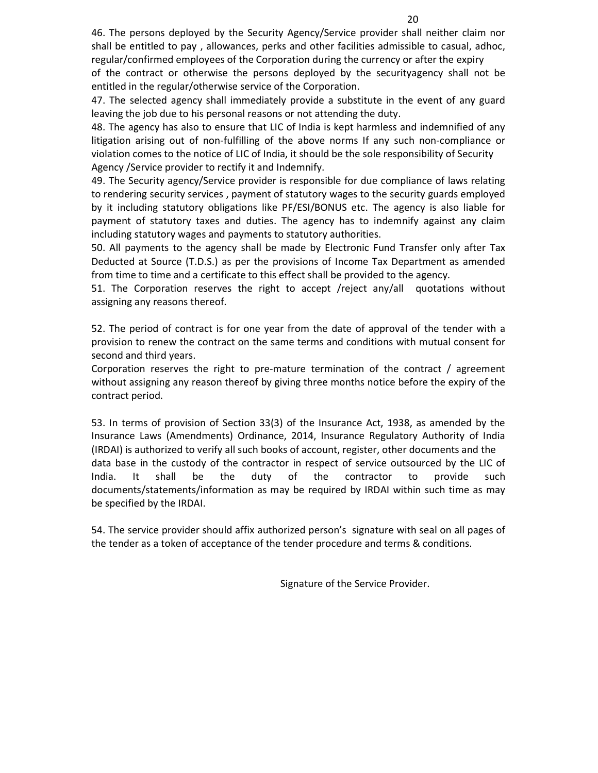46. The persons deployed by the Security Agency/Service provider shall neither claim nor shall be entitled to pay , allowances, perks and other facilities admissible to casual, adhoc, regular/confirmed employees of the Corporation during the currency or after the expiry

of the contract or otherwise the persons deployed by the securityagency shall not be entitled in the regular/otherwise service of the Corporation.

47. The selected agency shall immediately provide a substitute in the event of any guard leaving the job due to his personal reasons or not attending the duty.

48. The agency has also to ensure that LIC of India is kept harmless and indemnified of any litigation arising out of non-fulfilling of the above norms If any such non-compliance or violation comes to the notice of LIC of India, it should be the sole responsibility of Security Agency /Service provider to rectify it and Indemnify.

49. The Security agency/Service provider is responsible for due compliance of laws relating to rendering security services , payment of statutory wages to the security guards employed by it including statutory obligations like PF/ESI/BONUS etc. The agency is also liable for payment of statutory taxes and duties. The agency has to indemnify against any claim including statutory wages and payments to statutory authorities.

50. All payments to the agency shall be made by Electronic Fund Transfer only after Tax Deducted at Source (T.D.S.) as per the provisions of Income Tax Department as amended from time to time and a certificate to this effect shall be provided to the agency.

51. The Corporation reserves the right to accept /reject any/all quotations without assigning any reasons thereof.

52. The period of contract is for one year from the date of approval of the tender with a provision to renew the contract on the same terms and conditions with mutual consent for second and third years.

Corporation reserves the right to pre-mature termination of the contract / agreement without assigning any reason thereof by giving three months notice before the expiry of the contract period.

53. In terms of provision of Section 33(3) of the Insurance Act, 1938, as amended by the Insurance Laws (Amendments) Ordinance, 2014, Insurance Regulatory Authority of India (IRDAI) is authorized to verify all such books of account, register, other documents and the data base in the custody of the contractor in respect of service outsourced by the LIC of India. It shall be the duty of the contractor to provide such documents/statements/information as may be required by IRDAI within such time as may be specified by the IRDAI.

54. The service provider should affix authorized person's signature with seal on all pages of the tender as a token of acceptance of the tender procedure and terms & conditions.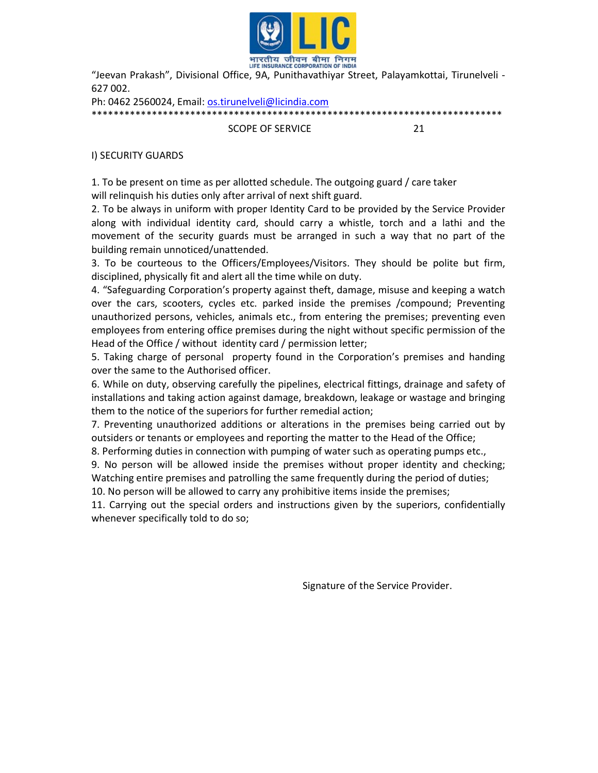

"Jeevan Prakash", Divisional Office, 9A, Punithavathiyar Street, Palayamkottai, Tirunelveli - 627 002.

Ph: 0462 2560024, Email: os.tirunelveli@licindia.com \*\*\*\*\*\*\*\*\*\*\*\*\*\*\*\*\*\*\*\*\*\*\*\*\*\*\*\*\*\*\*\*\*\*\*\*\*\*\*\*\*\*\*\*\*\*\*\*\*\*\*\*\*\*\*\*\*\*\*\*\*\*\*\*\*\*\*\*\*\*\*\*\*\*\*

SCOPE OF SERVICE 21

I) SECURITY GUARDS

1. To be present on time as per allotted schedule. The outgoing guard / care taker will relinquish his duties only after arrival of next shift guard.

2. To be always in uniform with proper Identity Card to be provided by the Service Provider along with individual identity card, should carry a whistle, torch and a lathi and the movement of the security guards must be arranged in such a way that no part of the building remain unnoticed/unattended.

3. To be courteous to the Officers/Employees/Visitors. They should be polite but firm, disciplined, physically fit and alert all the time while on duty.

4. "Safeguarding Corporation's property against theft, damage, misuse and keeping a watch over the cars, scooters, cycles etc. parked inside the premises /compound; Preventing unauthorized persons, vehicles, animals etc., from entering the premises; preventing even employees from entering office premises during the night without specific permission of the Head of the Office / without identity card / permission letter;

5. Taking charge of personal property found in the Corporation's premises and handing over the same to the Authorised officer.

6. While on duty, observing carefully the pipelines, electrical fittings, drainage and safety of installations and taking action against damage, breakdown, leakage or wastage and bringing them to the notice of the superiors for further remedial action;

7. Preventing unauthorized additions or alterations in the premises being carried out by outsiders or tenants or employees and reporting the matter to the Head of the Office;

8. Performing duties in connection with pumping of water such as operating pumps etc.,

9. No person will be allowed inside the premises without proper identity and checking; Watching entire premises and patrolling the same frequently during the period of duties;

10. No person will be allowed to carry any prohibitive items inside the premises;

11. Carrying out the special orders and instructions given by the superiors, confidentially whenever specifically told to do so;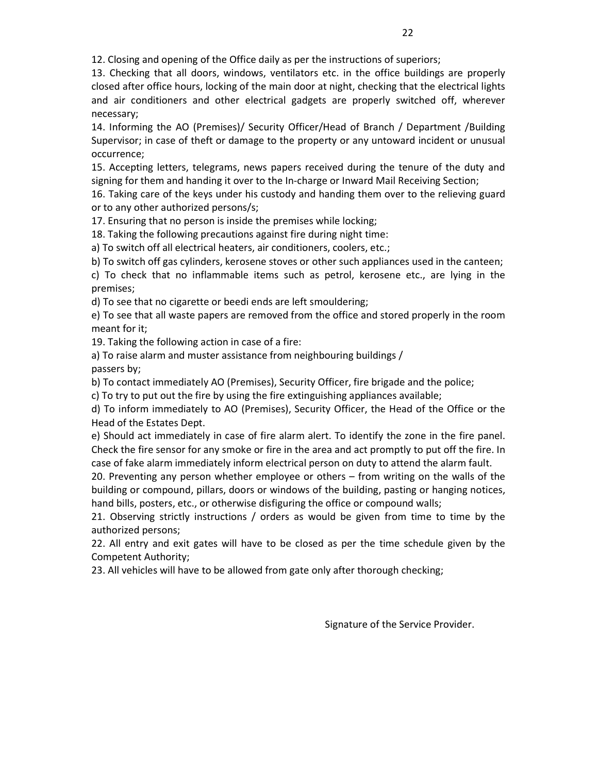12. Closing and opening of the Office daily as per the instructions of superiors;

13. Checking that all doors, windows, ventilators etc. in the office buildings are properly closed after office hours, locking of the main door at night, checking that the electrical lights and air conditioners and other electrical gadgets are properly switched off, wherever necessary;

14. Informing the AO (Premises)/ Security Officer/Head of Branch / Department /Building Supervisor; in case of theft or damage to the property or any untoward incident or unusual occurrence;

15. Accepting letters, telegrams, news papers received during the tenure of the duty and signing for them and handing it over to the In-charge or Inward Mail Receiving Section;

16. Taking care of the keys under his custody and handing them over to the relieving guard or to any other authorized persons/s;

17. Ensuring that no person is inside the premises while locking;

18. Taking the following precautions against fire during night time:

a) To switch off all electrical heaters, air conditioners, coolers, etc.;

b) To switch off gas cylinders, kerosene stoves or other such appliances used in the canteen;

c) To check that no inflammable items such as petrol, kerosene etc., are lying in the premises;

d) To see that no cigarette or beedi ends are left smouldering;

e) To see that all waste papers are removed from the office and stored properly in the room meant for it;

19. Taking the following action in case of a fire:

a) To raise alarm and muster assistance from neighbouring buildings / passers by;

b) To contact immediately AO (Premises), Security Officer, fire brigade and the police;

c) To try to put out the fire by using the fire extinguishing appliances available;

d) To inform immediately to AO (Premises), Security Officer, the Head of the Office or the Head of the Estates Dept.

e) Should act immediately in case of fire alarm alert. To identify the zone in the fire panel. Check the fire sensor for any smoke or fire in the area and act promptly to put off the fire. In case of fake alarm immediately inform electrical person on duty to attend the alarm fault.

20. Preventing any person whether employee or others – from writing on the walls of the building or compound, pillars, doors or windows of the building, pasting or hanging notices, hand bills, posters, etc., or otherwise disfiguring the office or compound walls;

21. Observing strictly instructions / orders as would be given from time to time by the authorized persons;

22. All entry and exit gates will have to be closed as per the time schedule given by the Competent Authority;

23. All vehicles will have to be allowed from gate only after thorough checking;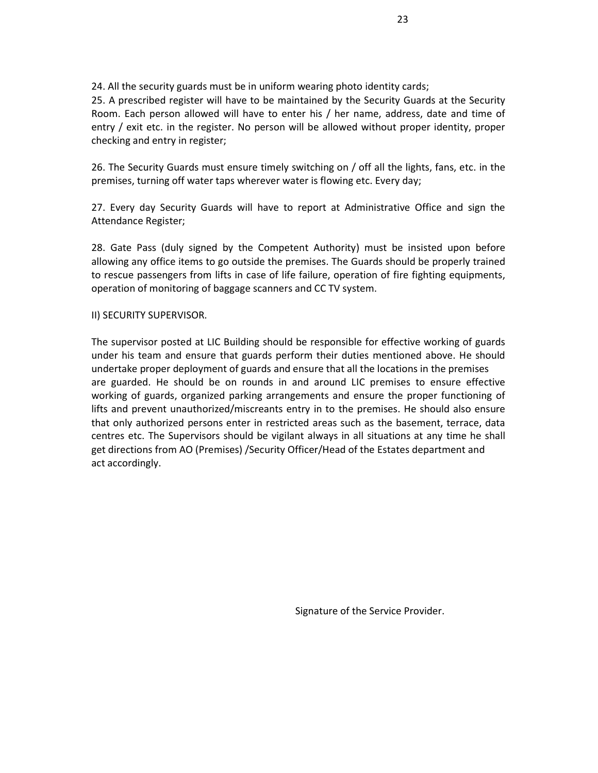24. All the security guards must be in uniform wearing photo identity cards;

25. A prescribed register will have to be maintained by the Security Guards at the Security Room. Each person allowed will have to enter his / her name, address, date and time of entry / exit etc. in the register. No person will be allowed without proper identity, proper checking and entry in register;

26. The Security Guards must ensure timely switching on / off all the lights, fans, etc. in the premises, turning off water taps wherever water is flowing etc. Every day;

27. Every day Security Guards will have to report at Administrative Office and sign the Attendance Register;

28. Gate Pass (duly signed by the Competent Authority) must be insisted upon before allowing any office items to go outside the premises. The Guards should be properly trained to rescue passengers from lifts in case of life failure, operation of fire fighting equipments, operation of monitoring of baggage scanners and CC TV system.

## II) SECURITY SUPERVISOR.

The supervisor posted at LIC Building should be responsible for effective working of guards under his team and ensure that guards perform their duties mentioned above. He should undertake proper deployment of guards and ensure that all the locations in the premises are guarded. He should be on rounds in and around LIC premises to ensure effective working of guards, organized parking arrangements and ensure the proper functioning of lifts and prevent unauthorized/miscreants entry in to the premises. He should also ensure that only authorized persons enter in restricted areas such as the basement, terrace, data centres etc. The Supervisors should be vigilant always in all situations at any time he shall get directions from AO (Premises) /Security Officer/Head of the Estates department and act accordingly.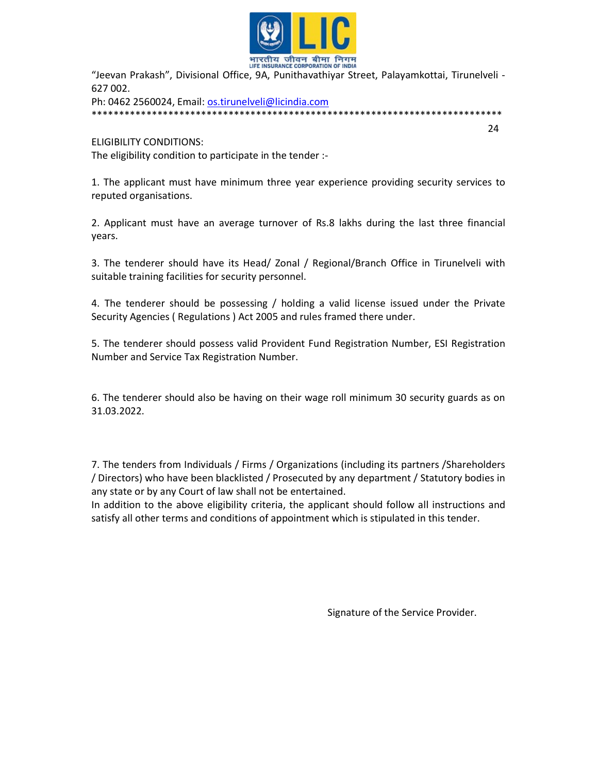

"Jeevan Prakash", Divisional Office, 9A, Punithavathiyar Street, Palayamkottai, Tirunelveli - 627 002.

24

Ph: 0462 2560024, Email: os.tirunelveli@licindia.com \*\*\*\*\*\*\*\*\*\*\*\*\*\*\*\*\*\*\*\*\*\*\*\*\*\*\*\*\*\*\*\*\*\*\*\*\*\*\*\*\*\*\*\*\*\*\*\*\*\*\*\*\*\*\*\*\*\*\*\*\*\*\*\*\*\*\*\*\*\*\*\*\*\*\*

ELIGIBILITY CONDITIONS: The eligibility condition to participate in the tender :-

1. The applicant must have minimum three year experience providing security services to reputed organisations.

2. Applicant must have an average turnover of Rs.8 lakhs during the last three financial years.

3. The tenderer should have its Head/ Zonal / Regional/Branch Office in Tirunelveli with suitable training facilities for security personnel.

4. The tenderer should be possessing / holding a valid license issued under the Private Security Agencies ( Regulations ) Act 2005 and rules framed there under.

5. The tenderer should possess valid Provident Fund Registration Number, ESI Registration Number and Service Tax Registration Number.

6. The tenderer should also be having on their wage roll minimum 30 security guards as on 31.03.2022.

7. The tenders from Individuals / Firms / Organizations (including its partners /Shareholders / Directors) who have been blacklisted / Prosecuted by any department / Statutory bodies in any state or by any Court of law shall not be entertained.

In addition to the above eligibility criteria, the applicant should follow all instructions and satisfy all other terms and conditions of appointment which is stipulated in this tender.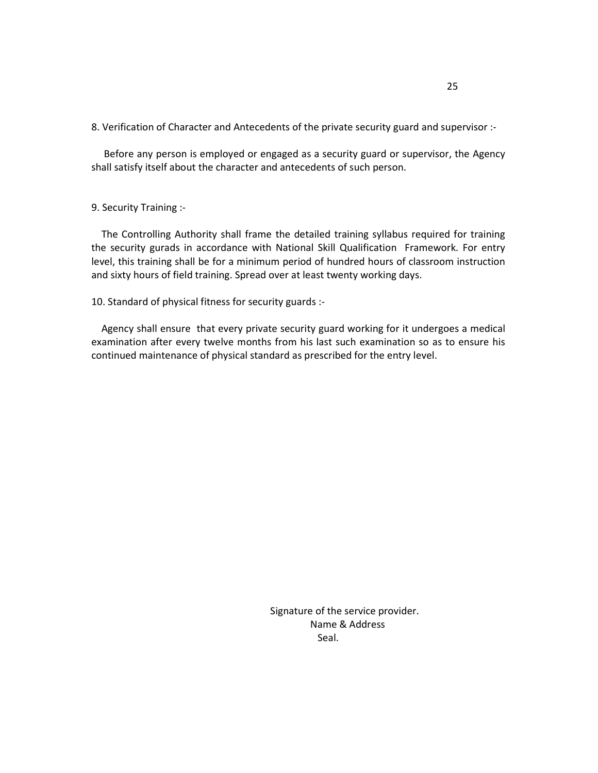8. Verification of Character and Antecedents of the private security guard and supervisor :-

 Before any person is employed or engaged as a security guard or supervisor, the Agency shall satisfy itself about the character and antecedents of such person.

### 9. Security Training :-

 The Controlling Authority shall frame the detailed training syllabus required for training the security gurads in accordance with National Skill Qualification Framework. For entry level, this training shall be for a minimum period of hundred hours of classroom instruction and sixty hours of field training. Spread over at least twenty working days.

10. Standard of physical fitness for security guards :-

 Agency shall ensure that every private security guard working for it undergoes a medical examination after every twelve months from his last such examination so as to ensure his continued maintenance of physical standard as prescribed for the entry level.

 Signature of the service provider. Name & Address **Seal.** The contract of the contract of the Seal.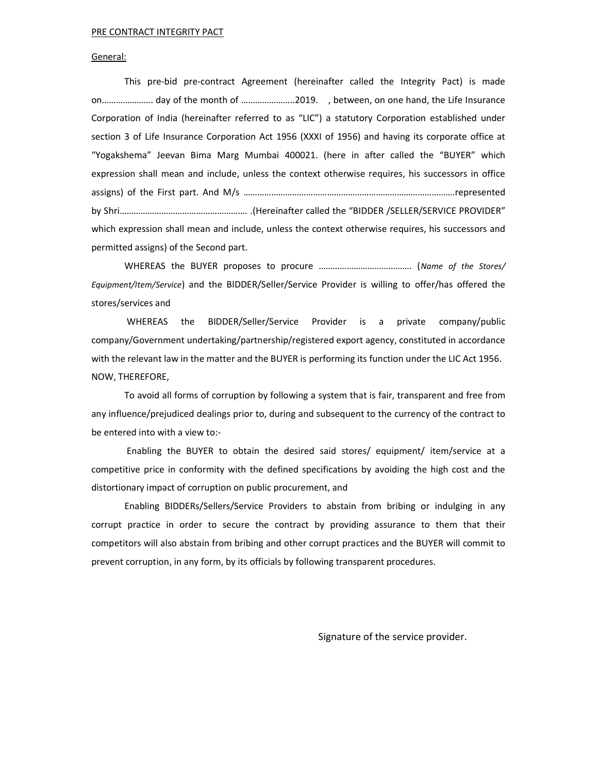#### PRE CONTRACT INTEGRITY PACT

#### General:

 This pre-bid pre-contract Agreement (hereinafter called the Integrity Pact) is made on…………………. day of the month of …………………..2019. , between, on one hand, the Life Insurance Corporation of India (hereinafter referred to as "LIC") a statutory Corporation established under section 3 of Life Insurance Corporation Act 1956 (XXXI of 1956) and having its corporate office at "Yogakshema" Jeevan Bima Marg Mumbai 400021. (here in after called the "BUYER" which expression shall mean and include, unless the context otherwise requires, his successors in office assigns) of the First part. And M/s ……………………………………………………………………………….represented by Shri………………………………………………. .(Hereinafter called the "BIDDER /SELLER/SERVICE PROVIDER" which expression shall mean and include, unless the context otherwise requires, his successors and permitted assigns) of the Second part.

WHEREAS the BUYER proposes to procure …………………………………. (Name of the Stores/ Equipment/Item/Service) and the BIDDER/Seller/Service Provider is willing to offer/has offered the stores/services and

 WHEREAS the BIDDER/Seller/Service Provider is a private company/public company/Government undertaking/partnership/registered export agency, constituted in accordance with the relevant law in the matter and the BUYER is performing its function under the LIC Act 1956. NOW, THEREFORE,

To avoid all forms of corruption by following a system that is fair, transparent and free from any influence/prejudiced dealings prior to, during and subsequent to the currency of the contract to be entered into with a view to:-

 Enabling the BUYER to obtain the desired said stores/ equipment/ item/service at a competitive price in conformity with the defined specifications by avoiding the high cost and the distortionary impact of corruption on public procurement, and

Enabling BIDDERs/Sellers/Service Providers to abstain from bribing or indulging in any corrupt practice in order to secure the contract by providing assurance to them that their competitors will also abstain from bribing and other corrupt practices and the BUYER will commit to prevent corruption, in any form, by its officials by following transparent procedures.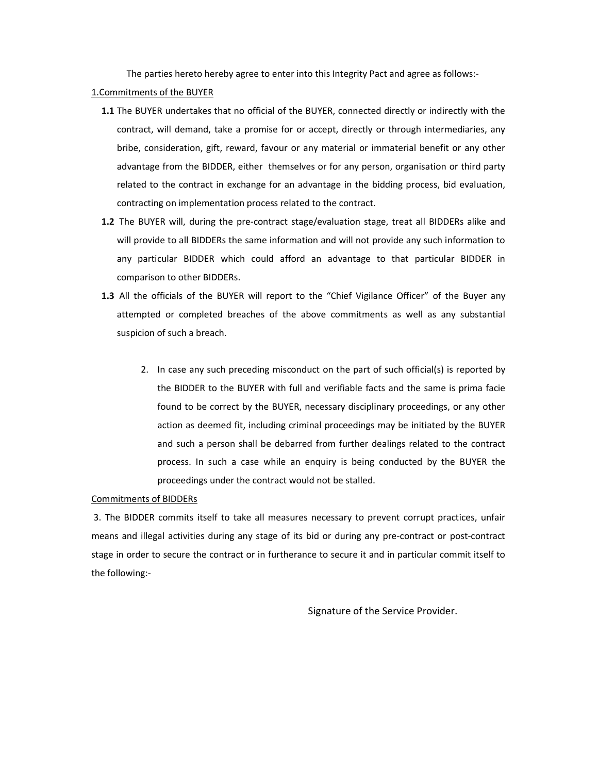The parties hereto hereby agree to enter into this Integrity Pact and agree as follows:-

- 1.Commitments of the BUYER
	- 1.1 The BUYER undertakes that no official of the BUYER, connected directly or indirectly with the contract, will demand, take a promise for or accept, directly or through intermediaries, any bribe, consideration, gift, reward, favour or any material or immaterial benefit or any other advantage from the BIDDER, either themselves or for any person, organisation or third party related to the contract in exchange for an advantage in the bidding process, bid evaluation, contracting on implementation process related to the contract.
	- 1.2 The BUYER will, during the pre-contract stage/evaluation stage, treat all BIDDERs alike and will provide to all BIDDERs the same information and will not provide any such information to any particular BIDDER which could afford an advantage to that particular BIDDER in comparison to other BIDDERs.
	- 1.3 All the officials of the BUYER will report to the "Chief Vigilance Officer" of the Buyer any attempted or completed breaches of the above commitments as well as any substantial suspicion of such a breach.
		- 2. In case any such preceding misconduct on the part of such official(s) is reported by the BIDDER to the BUYER with full and verifiable facts and the same is prima facie found to be correct by the BUYER, necessary disciplinary proceedings, or any other action as deemed fit, including criminal proceedings may be initiated by the BUYER and such a person shall be debarred from further dealings related to the contract process. In such a case while an enquiry is being conducted by the BUYER the proceedings under the contract would not be stalled.

#### Commitments of BIDDERs

 3. The BIDDER commits itself to take all measures necessary to prevent corrupt practices, unfair means and illegal activities during any stage of its bid or during any pre-contract or post-contract stage in order to secure the contract or in furtherance to secure it and in particular commit itself to the following:-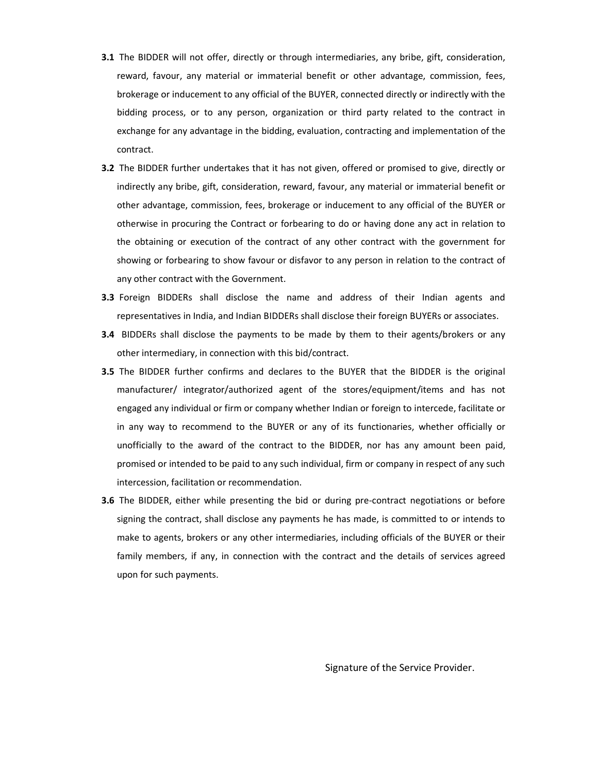- **3.1** The BIDDER will not offer, directly or through intermediaries, any bribe, gift, consideration, reward, favour, any material or immaterial benefit or other advantage, commission, fees, brokerage or inducement to any official of the BUYER, connected directly or indirectly with the bidding process, or to any person, organization or third party related to the contract in exchange for any advantage in the bidding, evaluation, contracting and implementation of the contract.
- **3.2** The BIDDER further undertakes that it has not given, offered or promised to give, directly or indirectly any bribe, gift, consideration, reward, favour, any material or immaterial benefit or other advantage, commission, fees, brokerage or inducement to any official of the BUYER or otherwise in procuring the Contract or forbearing to do or having done any act in relation to the obtaining or execution of the contract of any other contract with the government for showing or forbearing to show favour or disfavor to any person in relation to the contract of any other contract with the Government.
- 3.3 Foreign BIDDERs shall disclose the name and address of their Indian agents and representatives in India, and Indian BIDDERs shall disclose their foreign BUYERs or associates.
- **3.4** BIDDERs shall disclose the payments to be made by them to their agents/brokers or any other intermediary, in connection with this bid/contract.
- 3.5 The BIDDER further confirms and declares to the BUYER that the BIDDER is the original manufacturer/ integrator/authorized agent of the stores/equipment/items and has not engaged any individual or firm or company whether Indian or foreign to intercede, facilitate or in any way to recommend to the BUYER or any of its functionaries, whether officially or unofficially to the award of the contract to the BIDDER, nor has any amount been paid, promised or intended to be paid to any such individual, firm or company in respect of any such intercession, facilitation or recommendation.
- 3.6 The BIDDER, either while presenting the bid or during pre-contract negotiations or before signing the contract, shall disclose any payments he has made, is committed to or intends to make to agents, brokers or any other intermediaries, including officials of the BUYER or their family members, if any, in connection with the contract and the details of services agreed upon for such payments.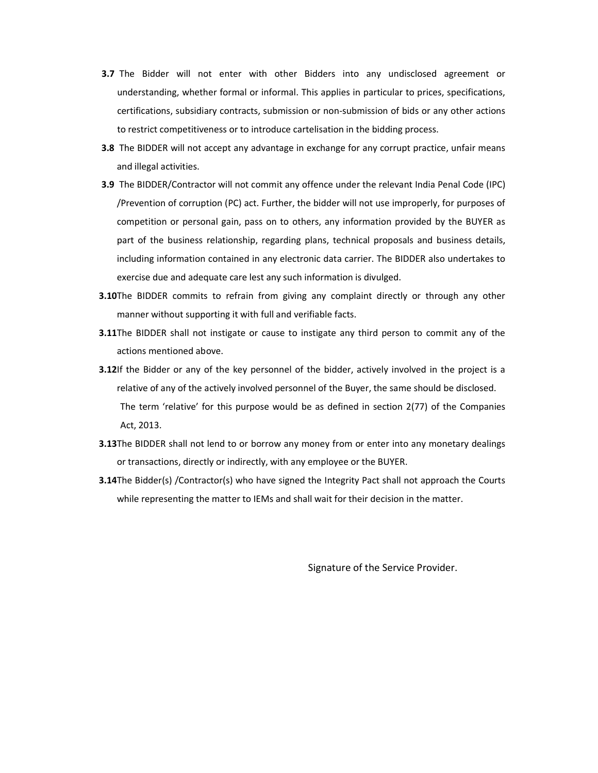- **3.7** The Bidder will not enter with other Bidders into any undisclosed agreement or understanding, whether formal or informal. This applies in particular to prices, specifications, certifications, subsidiary contracts, submission or non-submission of bids or any other actions to restrict competitiveness or to introduce cartelisation in the bidding process.
- **3.8** The BIDDER will not accept any advantage in exchange for any corrupt practice, unfair means and illegal activities.
- 3.9 The BIDDER/Contractor will not commit any offence under the relevant India Penal Code (IPC) /Prevention of corruption (PC) act. Further, the bidder will not use improperly, for purposes of competition or personal gain, pass on to others, any information provided by the BUYER as part of the business relationship, regarding plans, technical proposals and business details, including information contained in any electronic data carrier. The BIDDER also undertakes to exercise due and adequate care lest any such information is divulged.
- **3.10**The BIDDER commits to refrain from giving any complaint directly or through any other manner without supporting it with full and verifiable facts.
- **3.11**The BIDDER shall not instigate or cause to instigate any third person to commit any of the actions mentioned above.
- 3.12If the Bidder or any of the key personnel of the bidder, actively involved in the project is a relative of any of the actively involved personnel of the Buyer, the same should be disclosed. The term 'relative' for this purpose would be as defined in section 2(77) of the Companies Act, 2013.
- **3.13**The BIDDER shall not lend to or borrow any money from or enter into any monetary dealings or transactions, directly or indirectly, with any employee or the BUYER.
- **3.14**The Bidder(s) /Contractor(s) who have signed the Integrity Pact shall not approach the Courts while representing the matter to IEMs and shall wait for their decision in the matter.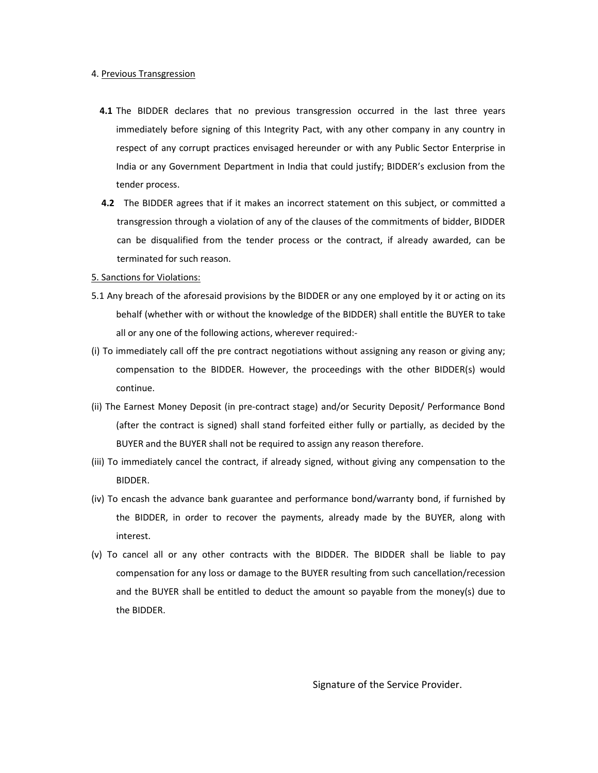#### 4. Previous Transgression

- 4.1 The BIDDER declares that no previous transgression occurred in the last three years immediately before signing of this Integrity Pact, with any other company in any country in respect of any corrupt practices envisaged hereunder or with any Public Sector Enterprise in India or any Government Department in India that could justify; BIDDER's exclusion from the tender process.
- 4.2 The BIDDER agrees that if it makes an incorrect statement on this subject, or committed a transgression through a violation of any of the clauses of the commitments of bidder, BIDDER can be disqualified from the tender process or the contract, if already awarded, can be terminated for such reason.

#### 5. Sanctions for Violations:

- 5.1 Any breach of the aforesaid provisions by the BIDDER or any one employed by it or acting on its behalf (whether with or without the knowledge of the BIDDER) shall entitle the BUYER to take all or any one of the following actions, wherever required:-
- (i) To immediately call off the pre contract negotiations without assigning any reason or giving any; compensation to the BIDDER. However, the proceedings with the other BIDDER(s) would continue.
- (ii) The Earnest Money Deposit (in pre-contract stage) and/or Security Deposit/ Performance Bond (after the contract is signed) shall stand forfeited either fully or partially, as decided by the BUYER and the BUYER shall not be required to assign any reason therefore.
- (iii) To immediately cancel the contract, if already signed, without giving any compensation to the BIDDER.
- (iv) To encash the advance bank guarantee and performance bond/warranty bond, if furnished by the BIDDER, in order to recover the payments, already made by the BUYER, along with interest.
- (v) To cancel all or any other contracts with the BIDDER. The BIDDER shall be liable to pay compensation for any loss or damage to the BUYER resulting from such cancellation/recession and the BUYER shall be entitled to deduct the amount so payable from the money(s) due to the BIDDER.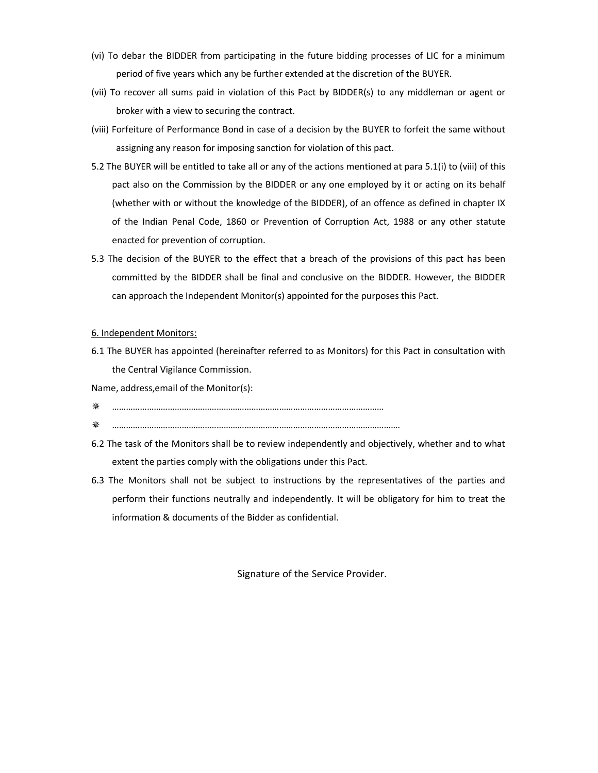- (vi) To debar the BIDDER from participating in the future bidding processes of LIC for a minimum period of five years which any be further extended at the discretion of the BUYER.
- (vii) To recover all sums paid in violation of this Pact by BIDDER(s) to any middleman or agent or broker with a view to securing the contract.
- (viii) Forfeiture of Performance Bond in case of a decision by the BUYER to forfeit the same without assigning any reason for imposing sanction for violation of this pact.
- 5.2 The BUYER will be entitled to take all or any of the actions mentioned at para 5.1(i) to (viii) of this pact also on the Commission by the BIDDER or any one employed by it or acting on its behalf (whether with or without the knowledge of the BIDDER), of an offence as defined in chapter IX of the Indian Penal Code, 1860 or Prevention of Corruption Act, 1988 or any other statute enacted for prevention of corruption.
- 5.3 The decision of the BUYER to the effect that a breach of the provisions of this pact has been committed by the BIDDER shall be final and conclusive on the BIDDER. However, the BIDDER can approach the Independent Monitor(s) appointed for the purposes this Pact.

#### 6. Independent Monitors:

6.1 The BUYER has appointed (hereinafter referred to as Monitors) for this Pact in consultation with the Central Vigilance Commission.

Name, address,email of the Monitor(s):

- ………………………………………………………………………………………………………
- …………………………………………………………………………………………………………….
- 6.2 The task of the Monitors shall be to review independently and objectively, whether and to what extent the parties comply with the obligations under this Pact.
- 6.3 The Monitors shall not be subject to instructions by the representatives of the parties and perform their functions neutrally and independently. It will be obligatory for him to treat the information & documents of the Bidder as confidential.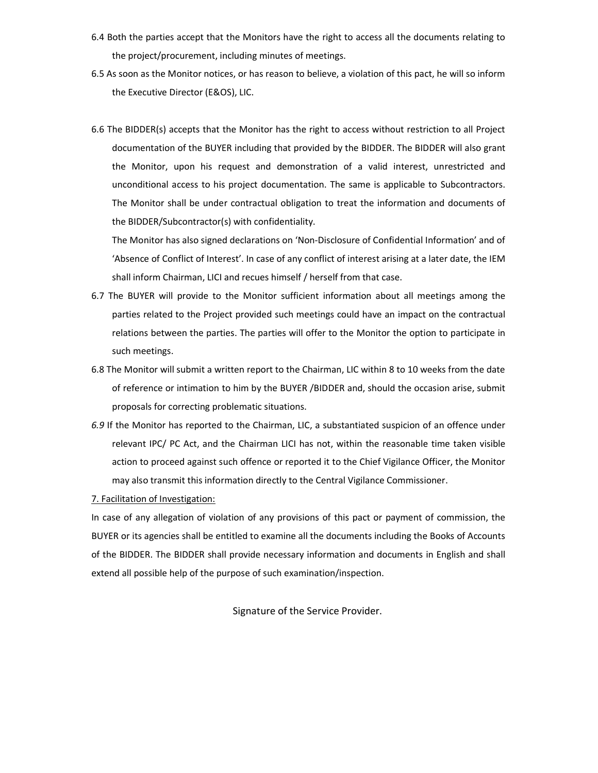- 6.4 Both the parties accept that the Monitors have the right to access all the documents relating to the project/procurement, including minutes of meetings.
- 6.5 As soon as the Monitor notices, or has reason to believe, a violation of this pact, he will so inform the Executive Director (E&OS), LIC.
- 6.6 The BIDDER(s) accepts that the Monitor has the right to access without restriction to all Project documentation of the BUYER including that provided by the BIDDER. The BIDDER will also grant the Monitor, upon his request and demonstration of a valid interest, unrestricted and unconditional access to his project documentation. The same is applicable to Subcontractors. The Monitor shall be under contractual obligation to treat the information and documents of the BIDDER/Subcontractor(s) with confidentiality.

 The Monitor has also signed declarations on 'Non-Disclosure of Confidential Information' and of 'Absence of Conflict of Interest'. In case of any conflict of interest arising at a later date, the IEM shall inform Chairman, LICI and recues himself / herself from that case.

- 6.7 The BUYER will provide to the Monitor sufficient information about all meetings among the parties related to the Project provided such meetings could have an impact on the contractual relations between the parties. The parties will offer to the Monitor the option to participate in such meetings.
- 6.8 The Monitor will submit a written report to the Chairman, LIC within 8 to 10 weeks from the date of reference or intimation to him by the BUYER /BIDDER and, should the occasion arise, submit proposals for correcting problematic situations.
- 6.9 If the Monitor has reported to the Chairman, LIC, a substantiated suspicion of an offence under relevant IPC/ PC Act, and the Chairman LICI has not, within the reasonable time taken visible action to proceed against such offence or reported it to the Chief Vigilance Officer, the Monitor may also transmit this information directly to the Central Vigilance Commissioner.

7. Facilitation of Investigation:

In case of any allegation of violation of any provisions of this pact or payment of commission, the BUYER or its agencies shall be entitled to examine all the documents including the Books of Accounts of the BIDDER. The BIDDER shall provide necessary information and documents in English and shall extend all possible help of the purpose of such examination/inspection.